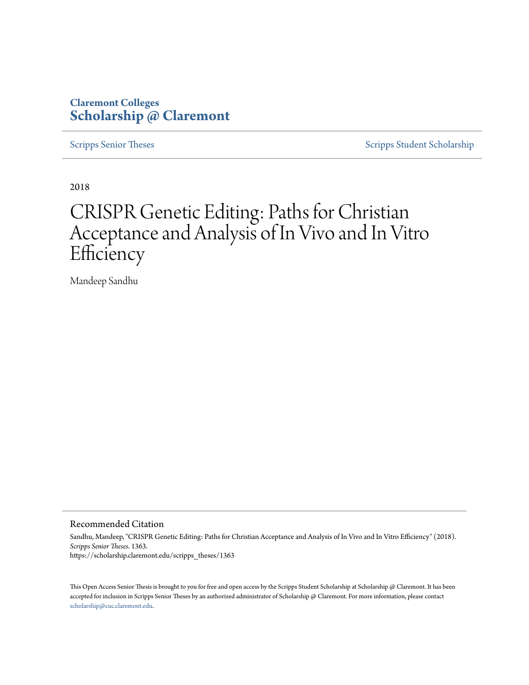# **Claremont Colleges [Scholarship @ Claremont](https://scholarship.claremont.edu)**

[Scripps Senior Theses](https://scholarship.claremont.edu/scripps_theses) [Scripps Student Scholarship](https://scholarship.claremont.edu/scripps_student)

2018

# CRISPR Genetic Editing: Paths for Christian Acceptance and Analysis of In Vivo and In Vitro **Efficiency**

Mandeep Sandhu

Recommended Citation

Sandhu, Mandeep, "CRISPR Genetic Editing: Paths for Christian Acceptance and Analysis of In Vivo and In Vitro Efficiency" (2018). *Scripps Senior Theses*. 1363. https://scholarship.claremont.edu/scripps\_theses/1363

This Open Access Senior Thesis is brought to you for free and open access by the Scripps Student Scholarship at Scholarship @ Claremont. It has been accepted for inclusion in Scripps Senior Theses by an authorized administrator of Scholarship @ Claremont. For more information, please contact [scholarship@cuc.claremont.edu.](mailto:scholarship@cuc.claremont.edu)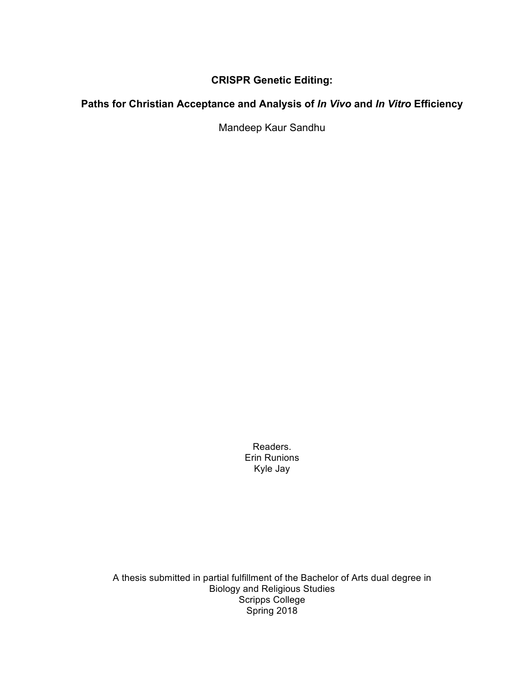# **CRISPR Genetic Editing:**

# **Paths for Christian Acceptance and Analysis of** *In Vivo* **and** *In Vitro* **Efficiency**

Mandeep Kaur Sandhu

Readers. Erin Runions Kyle Jay

A thesis submitted in partial fulfillment of the Bachelor of Arts dual degree in Biology and Religious Studies Scripps College Spring 2018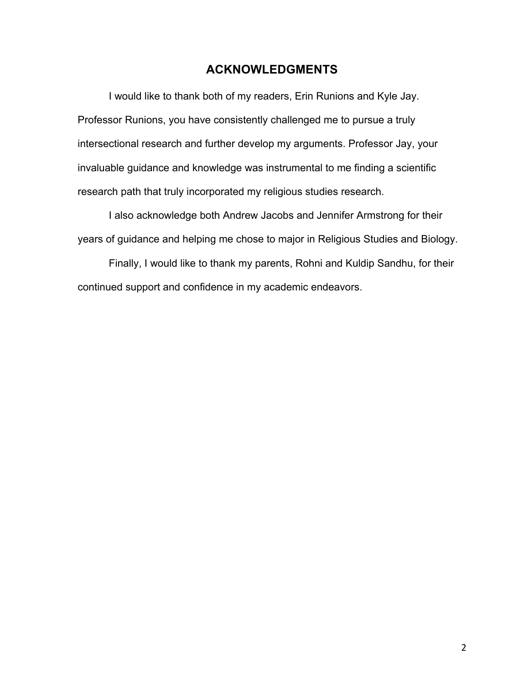# **ACKNOWLEDGMENTS**

I would like to thank both of my readers, Erin Runions and Kyle Jay. Professor Runions, you have consistently challenged me to pursue a truly intersectional research and further develop my arguments. Professor Jay, your invaluable guidance and knowledge was instrumental to me finding a scientific research path that truly incorporated my religious studies research.

I also acknowledge both Andrew Jacobs and Jennifer Armstrong for their years of guidance and helping me chose to major in Religious Studies and Biology.

Finally, I would like to thank my parents, Rohni and Kuldip Sandhu, for their continued support and confidence in my academic endeavors.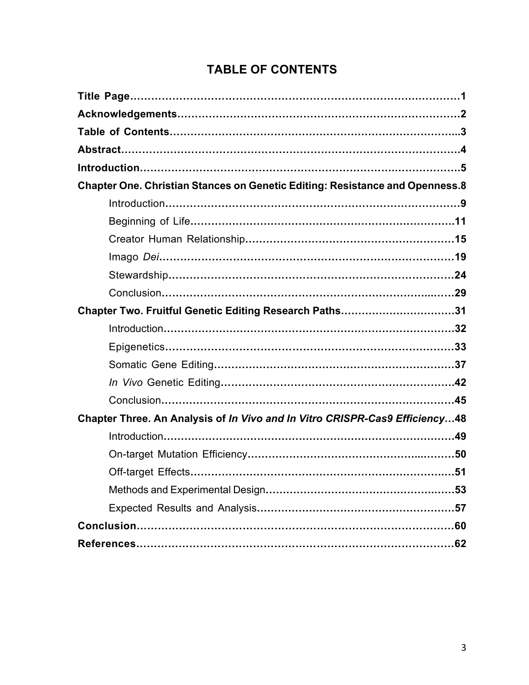# **TABLE OF CONTENTS**

| Chapter One. Christian Stances on Genetic Editing: Resistance and Openness.8 |
|------------------------------------------------------------------------------|
|                                                                              |
|                                                                              |
|                                                                              |
|                                                                              |
|                                                                              |
|                                                                              |
| Chapter Two. Fruitful Genetic Editing Research Paths31                       |
|                                                                              |
|                                                                              |
|                                                                              |
|                                                                              |
|                                                                              |
| Chapter Three. An Analysis of In Vivo and In Vitro CRISPR-Cas9 Efficiency48  |
|                                                                              |
|                                                                              |
|                                                                              |
|                                                                              |
|                                                                              |
|                                                                              |
|                                                                              |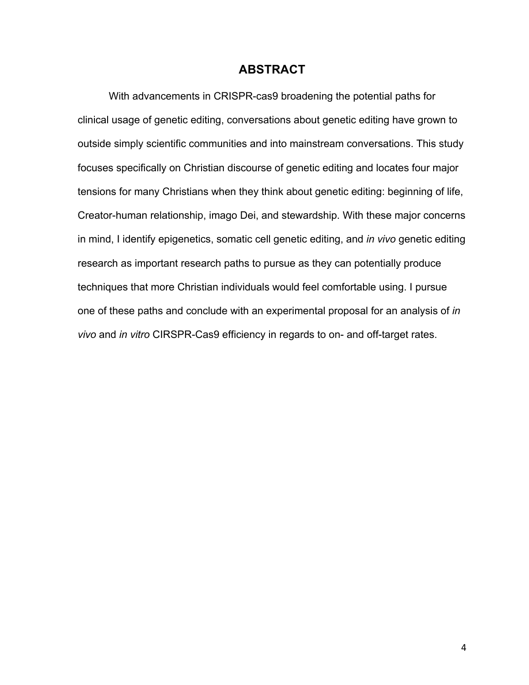### **ABSTRACT**

With advancements in CRISPR-cas9 broadening the potential paths for clinical usage of genetic editing, conversations about genetic editing have grown to outside simply scientific communities and into mainstream conversations. This study focuses specifically on Christian discourse of genetic editing and locates four major tensions for many Christians when they think about genetic editing: beginning of life, Creator-human relationship, imago Dei, and stewardship. With these major concerns in mind, I identify epigenetics, somatic cell genetic editing, and *in vivo* genetic editing research as important research paths to pursue as they can potentially produce techniques that more Christian individuals would feel comfortable using. I pursue one of these paths and conclude with an experimental proposal for an analysis of *in vivo* and *in vitro* CIRSPR-Cas9 efficiency in regards to on- and off-target rates.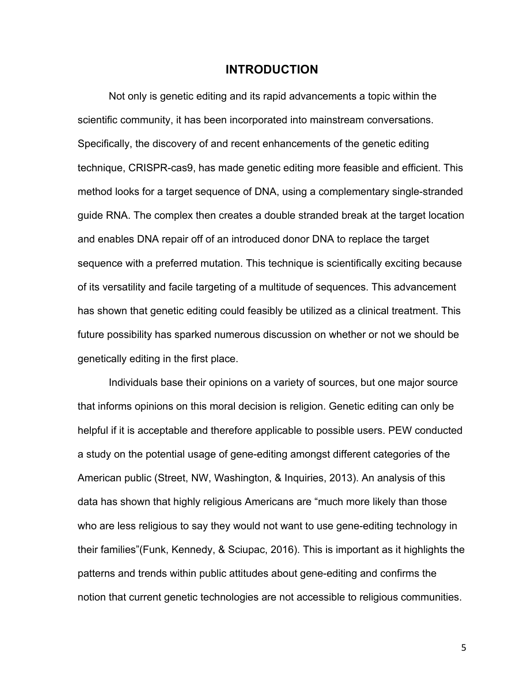### **INTRODUCTION**

Not only is genetic editing and its rapid advancements a topic within the scientific community, it has been incorporated into mainstream conversations. Specifically, the discovery of and recent enhancements of the genetic editing technique, CRISPR-cas9, has made genetic editing more feasible and efficient. This method looks for a target sequence of DNA, using a complementary single-stranded guide RNA. The complex then creates a double stranded break at the target location and enables DNA repair off of an introduced donor DNA to replace the target sequence with a preferred mutation. This technique is scientifically exciting because of its versatility and facile targeting of a multitude of sequences. This advancement has shown that genetic editing could feasibly be utilized as a clinical treatment. This future possibility has sparked numerous discussion on whether or not we should be genetically editing in the first place.

Individuals base their opinions on a variety of sources, but one major source that informs opinions on this moral decision is religion. Genetic editing can only be helpful if it is acceptable and therefore applicable to possible users. PEW conducted a study on the potential usage of gene-editing amongst different categories of the American public (Street, NW, Washington, & Inquiries, 2013). An analysis of this data has shown that highly religious Americans are "much more likely than those who are less religious to say they would not want to use gene-editing technology in their families"(Funk, Kennedy, & Sciupac, 2016). This is important as it highlights the patterns and trends within public attitudes about gene-editing and confirms the notion that current genetic technologies are not accessible to religious communities.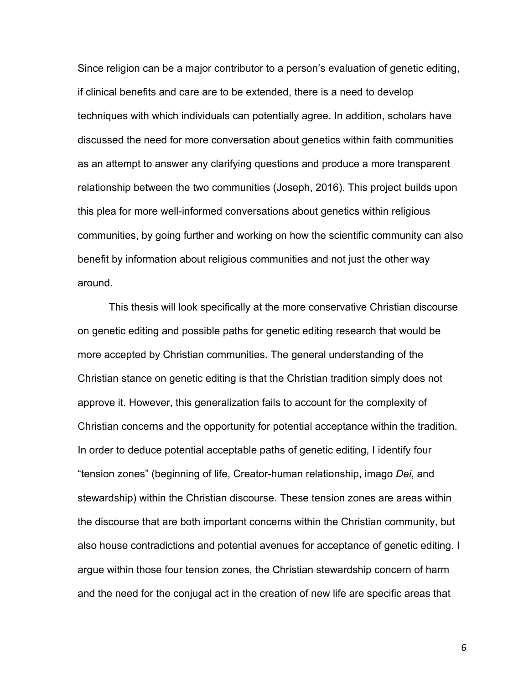Since religion can be a major contributor to a person's evaluation of genetic editing, if clinical benefits and care are to be extended, there is a need to develop techniques with which individuals can potentially agree. In addition, scholars have discussed the need for more conversation about genetics within faith communities as an attempt to answer any clarifying questions and produce a more transparent relationship between the two communities (Joseph, 2016). This project builds upon this plea for more well-informed conversations about genetics within religious communities, by going further and working on how the scientific community can also benefit by information about religious communities and not just the other way around.

This thesis will look specifically at the more conservative Christian discourse on genetic editing and possible paths for genetic editing research that would be more accepted by Christian communities. The general understanding of the Christian stance on genetic editing is that the Christian tradition simply does not approve it. However, this generalization fails to account for the complexity of Christian concerns and the opportunity for potential acceptance within the tradition. In order to deduce potential acceptable paths of genetic editing, I identify four "tension zones" (beginning of life, Creator-human relationship, imago *Dei*, and stewardship) within the Christian discourse. These tension zones are areas within the discourse that are both important concerns within the Christian community, but also house contradictions and potential avenues for acceptance of genetic editing. I argue within those four tension zones, the Christian stewardship concern of harm and the need for the conjugal act in the creation of new life are specific areas that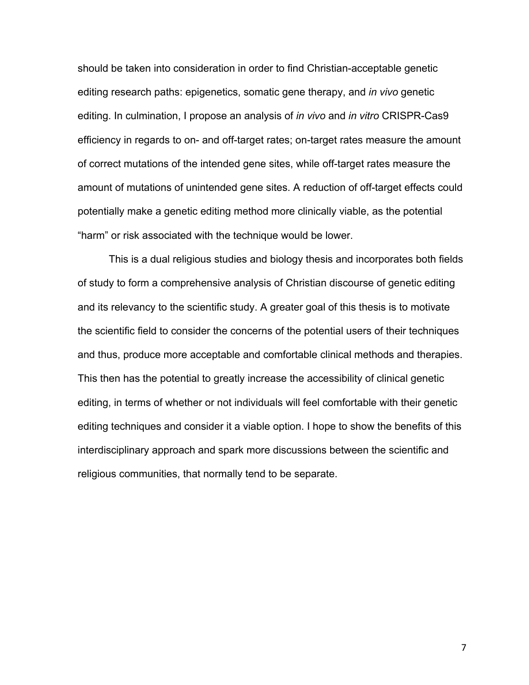should be taken into consideration in order to find Christian-acceptable genetic editing research paths: epigenetics, somatic gene therapy, and *in vivo* genetic editing. In culmination, I propose an analysis of *in vivo* and *in vitro* CRISPR-Cas9 efficiency in regards to on- and off-target rates; on-target rates measure the amount of correct mutations of the intended gene sites, while off-target rates measure the amount of mutations of unintended gene sites. A reduction of off-target effects could potentially make a genetic editing method more clinically viable, as the potential "harm" or risk associated with the technique would be lower.

This is a dual religious studies and biology thesis and incorporates both fields of study to form a comprehensive analysis of Christian discourse of genetic editing and its relevancy to the scientific study. A greater goal of this thesis is to motivate the scientific field to consider the concerns of the potential users of their techniques and thus, produce more acceptable and comfortable clinical methods and therapies. This then has the potential to greatly increase the accessibility of clinical genetic editing, in terms of whether or not individuals will feel comfortable with their genetic editing techniques and consider it a viable option. I hope to show the benefits of this interdisciplinary approach and spark more discussions between the scientific and religious communities, that normally tend to be separate.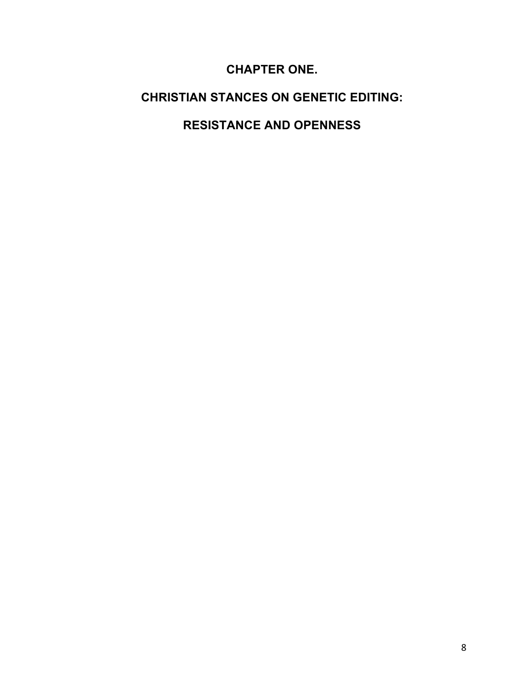# **CHAPTER ONE.**

# **CHRISTIAN STANCES ON GENETIC EDITING:**

# **RESISTANCE AND OPENNESS**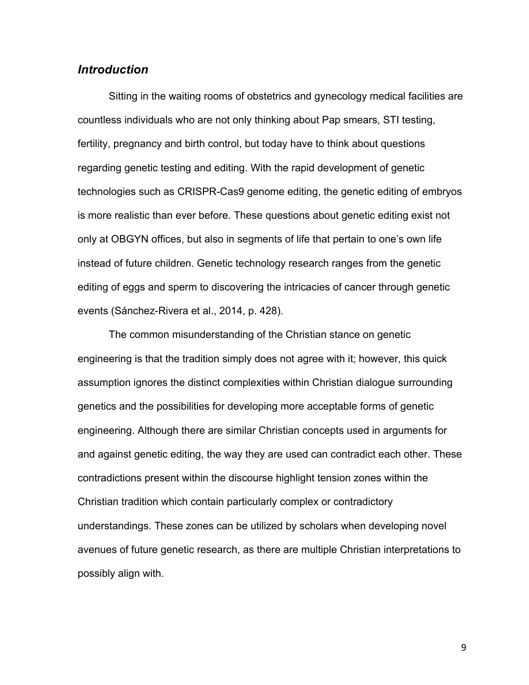### *Introduction*

Sitting in the waiting rooms of obstetrics and gynecology medical facilities are countless individuals who are not only thinking about Pap smears, STI testing, fertility, pregnancy and birth control, but today have to think about questions regarding genetic testing and editing. With the rapid development of genetic technologies such as CRISPR-Cas9 genome editing, the genetic editing of embryos is more realistic than ever before. These questions about genetic editing exist not only at OBGYN offices, but also in segments of life that pertain to one's own life instead of future children. Genetic technology research ranges from the genetic editing of eggs and sperm to discovering the intricacies of cancer through genetic events (Sánchez-Rivera et al., 2014, p. 428).

The common misunderstanding of the Christian stance on genetic engineering is that the tradition simply does not agree with it; however, this quick assumption ignores the distinct complexities within Christian dialogue surrounding genetics and the possibilities for developing more acceptable forms of genetic engineering. Although there are similar Christian concepts used in arguments for and against genetic editing, the way they are used can contradict each other. These contradictions present within the discourse highlight tension zones within the Christian tradition which contain particularly complex or contradictory understandings. These zones can be utilized by scholars when developing novel avenues of future genetic research, as there are multiple Christian interpretations to possibly align with.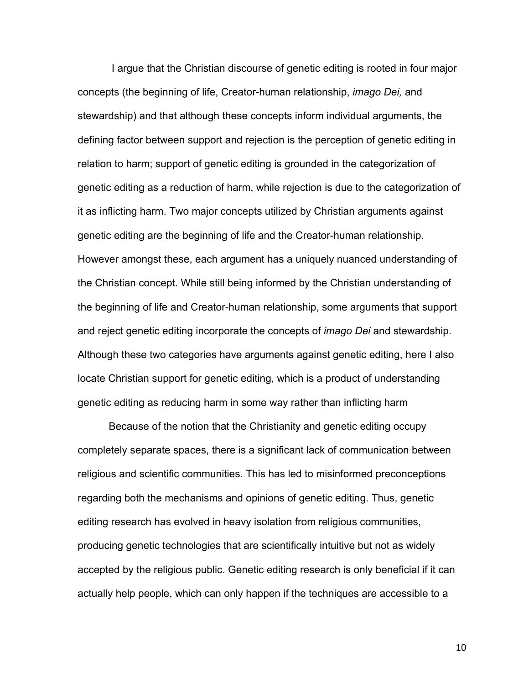I argue that the Christian discourse of genetic editing is rooted in four major concepts (the beginning of life, Creator-human relationship, *imago Dei,* and stewardship) and that although these concepts inform individual arguments, the defining factor between support and rejection is the perception of genetic editing in relation to harm; support of genetic editing is grounded in the categorization of genetic editing as a reduction of harm, while rejection is due to the categorization of it as inflicting harm. Two major concepts utilized by Christian arguments against genetic editing are the beginning of life and the Creator-human relationship. However amongst these, each argument has a uniquely nuanced understanding of the Christian concept. While still being informed by the Christian understanding of the beginning of life and Creator-human relationship, some arguments that support and reject genetic editing incorporate the concepts of *imago Dei* and stewardship. Although these two categories have arguments against genetic editing, here I also locate Christian support for genetic editing, which is a product of understanding genetic editing as reducing harm in some way rather than inflicting harm

Because of the notion that the Christianity and genetic editing occupy completely separate spaces, there is a significant lack of communication between religious and scientific communities. This has led to misinformed preconceptions regarding both the mechanisms and opinions of genetic editing. Thus, genetic editing research has evolved in heavy isolation from religious communities, producing genetic technologies that are scientifically intuitive but not as widely accepted by the religious public. Genetic editing research is only beneficial if it can actually help people, which can only happen if the techniques are accessible to a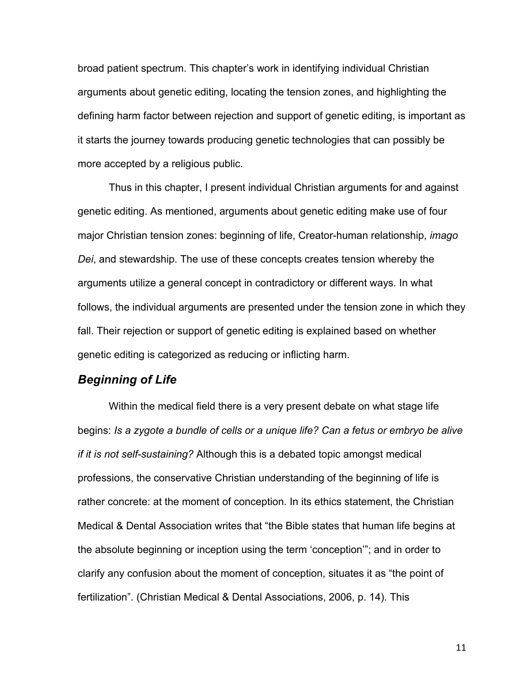broad patient spectrum. This chapter's work in identifying individual Christian arguments about genetic editing, locating the tension zones, and highlighting the defining harm factor between rejection and support of genetic editing, is important as it starts the journey towards producing genetic technologies that can possibly be more accepted by a religious public.

Thus in this chapter, I present individual Christian arguments for and against genetic editing. As mentioned, arguments about genetic editing make use of four major Christian tension zones: beginning of life, Creator-human relationship, *imago Dei*, and stewardship. The use of these concepts creates tension whereby the arguments utilize a general concept in contradictory or different ways. In what follows, the individual arguments are presented under the tension zone in which they fall. Their rejection or support of genetic editing is explained based on whether genetic editing is categorized as reducing or inflicting harm.

### *Beginning of Life*

Within the medical field there is a very present debate on what stage life begins: *Is a zygote a bundle of cells or a unique life? Can a fetus or embryo be alive if it is not self-sustaining?* Although this is a debated topic amongst medical professions, the conservative Christian understanding of the beginning of life is rather concrete: at the moment of conception. In its ethics statement, the Christian Medical & Dental Association writes that "the Bible states that human life begins at the absolute beginning or inception using the term 'conception'"; and in order to clarify any confusion about the moment of conception, situates it as "the point of fertilization". (Christian Medical & Dental Associations, 2006, p. 14). This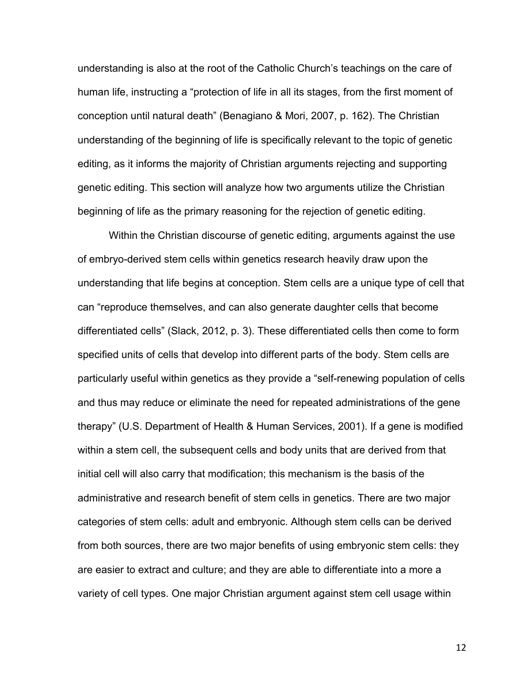understanding is also at the root of the Catholic Church's teachings on the care of human life, instructing a "protection of life in all its stages, from the first moment of conception until natural death" (Benagiano & Mori, 2007, p. 162). The Christian understanding of the beginning of life is specifically relevant to the topic of genetic editing, as it informs the majority of Christian arguments rejecting and supporting genetic editing. This section will analyze how two arguments utilize the Christian beginning of life as the primary reasoning for the rejection of genetic editing.

Within the Christian discourse of genetic editing, arguments against the use of embryo-derived stem cells within genetics research heavily draw upon the understanding that life begins at conception. Stem cells are a unique type of cell that can "reproduce themselves, and can also generate daughter cells that become differentiated cells" (Slack, 2012, p. 3). These differentiated cells then come to form specified units of cells that develop into different parts of the body. Stem cells are particularly useful within genetics as they provide a "self-renewing population of cells and thus may reduce or eliminate the need for repeated administrations of the gene therapy" (U.S. Department of Health & Human Services, 2001). If a gene is modified within a stem cell, the subsequent cells and body units that are derived from that initial cell will also carry that modification; this mechanism is the basis of the administrative and research benefit of stem cells in genetics. There are two major categories of stem cells: adult and embryonic. Although stem cells can be derived from both sources, there are two major benefits of using embryonic stem cells: they are easier to extract and culture; and they are able to differentiate into a more a variety of cell types. One major Christian argument against stem cell usage within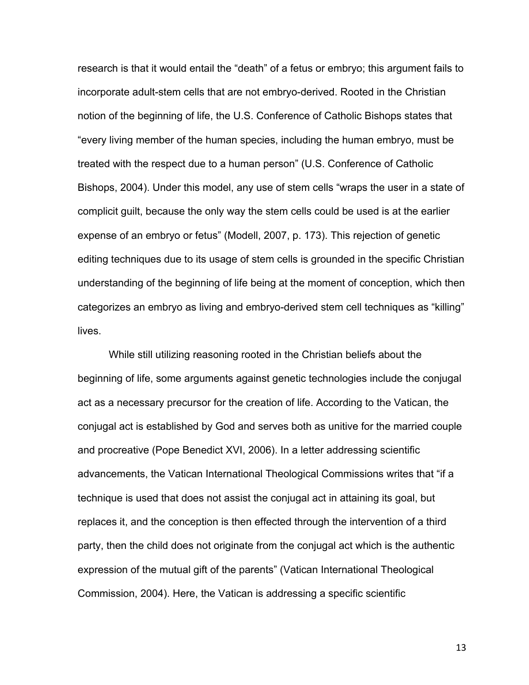research is that it would entail the "death" of a fetus or embryo; this argument fails to incorporate adult-stem cells that are not embryo-derived. Rooted in the Christian notion of the beginning of life, the U.S. Conference of Catholic Bishops states that "every living member of the human species, including the human embryo, must be treated with the respect due to a human person" (U.S. Conference of Catholic Bishops, 2004). Under this model, any use of stem cells "wraps the user in a state of complicit guilt, because the only way the stem cells could be used is at the earlier expense of an embryo or fetus" (Modell, 2007, p. 173). This rejection of genetic editing techniques due to its usage of stem cells is grounded in the specific Christian understanding of the beginning of life being at the moment of conception, which then categorizes an embryo as living and embryo-derived stem cell techniques as "killing" lives.

While still utilizing reasoning rooted in the Christian beliefs about the beginning of life, some arguments against genetic technologies include the conjugal act as a necessary precursor for the creation of life. According to the Vatican, the conjugal act is established by God and serves both as unitive for the married couple and procreative (Pope Benedict XVI, 2006). In a letter addressing scientific advancements, the Vatican International Theological Commissions writes that "if a technique is used that does not assist the conjugal act in attaining its goal, but replaces it, and the conception is then effected through the intervention of a third party, then the child does not originate from the conjugal act which is the authentic expression of the mutual gift of the parents" (Vatican International Theological Commission, 2004). Here, the Vatican is addressing a specific scientific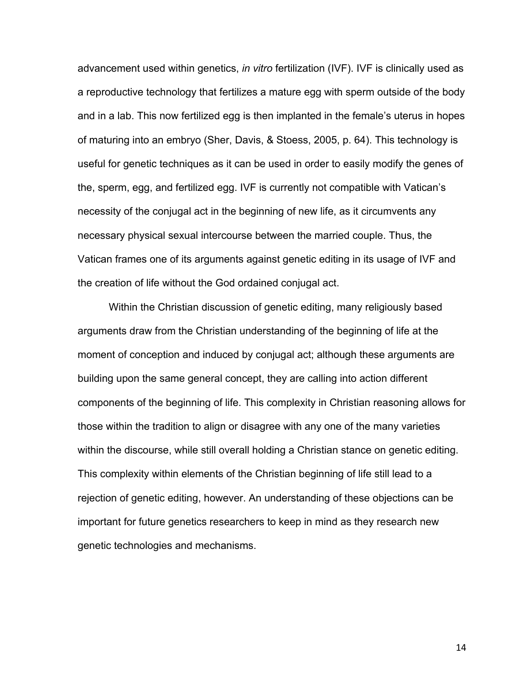advancement used within genetics, *in vitro* fertilization (IVF). IVF is clinically used as a reproductive technology that fertilizes a mature egg with sperm outside of the body and in a lab. This now fertilized egg is then implanted in the female's uterus in hopes of maturing into an embryo (Sher, Davis, & Stoess, 2005, p. 64). This technology is useful for genetic techniques as it can be used in order to easily modify the genes of the, sperm, egg, and fertilized egg. IVF is currently not compatible with Vatican's necessity of the conjugal act in the beginning of new life, as it circumvents any necessary physical sexual intercourse between the married couple. Thus, the Vatican frames one of its arguments against genetic editing in its usage of IVF and the creation of life without the God ordained conjugal act.

Within the Christian discussion of genetic editing, many religiously based arguments draw from the Christian understanding of the beginning of life at the moment of conception and induced by conjugal act; although these arguments are building upon the same general concept, they are calling into action different components of the beginning of life. This complexity in Christian reasoning allows for those within the tradition to align or disagree with any one of the many varieties within the discourse, while still overall holding a Christian stance on genetic editing. This complexity within elements of the Christian beginning of life still lead to a rejection of genetic editing, however. An understanding of these objections can be important for future genetics researchers to keep in mind as they research new genetic technologies and mechanisms.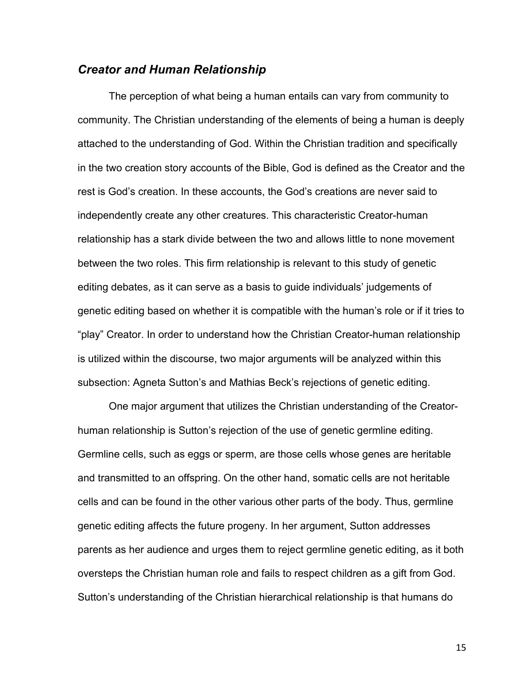# *Creator and Human Relationship*

The perception of what being a human entails can vary from community to community. The Christian understanding of the elements of being a human is deeply attached to the understanding of God. Within the Christian tradition and specifically in the two creation story accounts of the Bible, God is defined as the Creator and the rest is God's creation. In these accounts, the God's creations are never said to independently create any other creatures. This characteristic Creator-human relationship has a stark divide between the two and allows little to none movement between the two roles. This firm relationship is relevant to this study of genetic editing debates, as it can serve as a basis to guide individuals' judgements of genetic editing based on whether it is compatible with the human's role or if it tries to "play" Creator. In order to understand how the Christian Creator-human relationship is utilized within the discourse, two major arguments will be analyzed within this subsection: Agneta Sutton's and Mathias Beck's rejections of genetic editing.

One major argument that utilizes the Christian understanding of the Creatorhuman relationship is Sutton's rejection of the use of genetic germline editing. Germline cells, such as eggs or sperm, are those cells whose genes are heritable and transmitted to an offspring. On the other hand, somatic cells are not heritable cells and can be found in the other various other parts of the body. Thus, germline genetic editing affects the future progeny. In her argument, Sutton addresses parents as her audience and urges them to reject germline genetic editing, as it both oversteps the Christian human role and fails to respect children as a gift from God. Sutton's understanding of the Christian hierarchical relationship is that humans do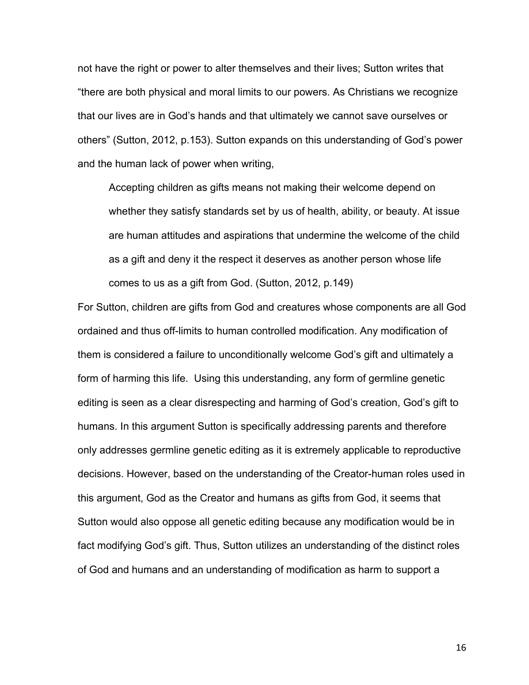not have the right or power to alter themselves and their lives; Sutton writes that "there are both physical and moral limits to our powers. As Christians we recognize that our lives are in God's hands and that ultimately we cannot save ourselves or others" (Sutton, 2012, p.153). Sutton expands on this understanding of God's power and the human lack of power when writing,

Accepting children as gifts means not making their welcome depend on whether they satisfy standards set by us of health, ability, or beauty. At issue are human attitudes and aspirations that undermine the welcome of the child as a gift and deny it the respect it deserves as another person whose life comes to us as a gift from God. (Sutton, 2012, p.149)

For Sutton, children are gifts from God and creatures whose components are all God ordained and thus off-limits to human controlled modification. Any modification of them is considered a failure to unconditionally welcome God's gift and ultimately a form of harming this life. Using this understanding, any form of germline genetic editing is seen as a clear disrespecting and harming of God's creation, God's gift to humans. In this argument Sutton is specifically addressing parents and therefore only addresses germline genetic editing as it is extremely applicable to reproductive decisions. However, based on the understanding of the Creator-human roles used in this argument, God as the Creator and humans as gifts from God, it seems that Sutton would also oppose all genetic editing because any modification would be in fact modifying God's gift. Thus, Sutton utilizes an understanding of the distinct roles of God and humans and an understanding of modification as harm to support a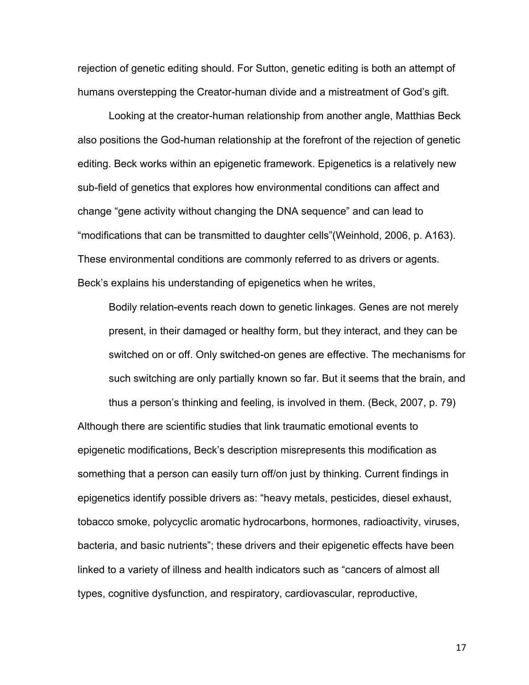rejection of genetic editing should. For Sutton, genetic editing is both an attempt of humans overstepping the Creator-human divide and a mistreatment of God's gift.

Looking at the creator-human relationship from another angle, Matthias Beck also positions the God-human relationship at the forefront of the rejection of genetic editing. Beck works within an epigenetic framework. Epigenetics is a relatively new sub-field of genetics that explores how environmental conditions can affect and change "gene activity without changing the DNA sequence" and can lead to "modifications that can be transmitted to daughter cells"(Weinhold, 2006, p. A163). These environmental conditions are commonly referred to as drivers or agents. Beck's explains his understanding of epigenetics when he writes,

Bodily relation-events reach down to genetic linkages. Genes are not merely present, in their damaged or healthy form, but they interact, and they can be switched on or off. Only switched-on genes are effective. The mechanisms for such switching are only partially known so far. But it seems that the brain, and

thus a person's thinking and feeling, is involved in them. (Beck, 2007, p. 79) Although there are scientific studies that link traumatic emotional events to epigenetic modifications, Beck's description misrepresents this modification as something that a person can easily turn off/on just by thinking. Current findings in epigenetics identify possible drivers as: "heavy metals, pesticides, diesel exhaust, tobacco smoke, polycyclic aromatic hydrocarbons, hormones, radioactivity, viruses, bacteria, and basic nutrients"; these drivers and their epigenetic effects have been linked to a variety of illness and health indicators such as "cancers of almost all types, cognitive dysfunction, and respiratory, cardiovascular, reproductive,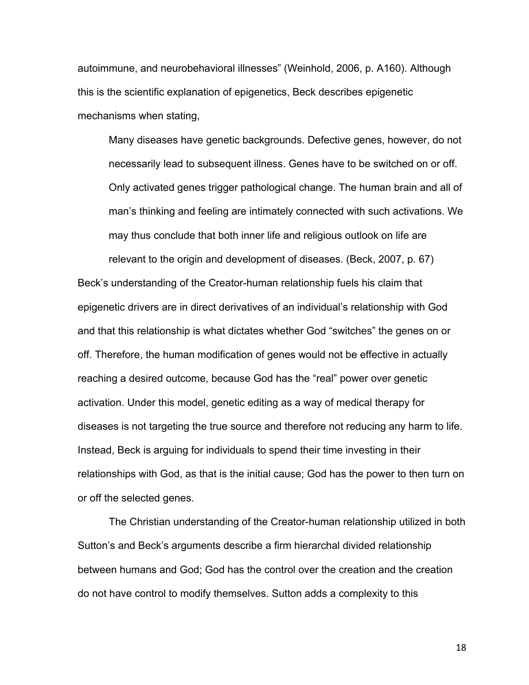autoimmune, and neurobehavioral illnesses" (Weinhold, 2006, p. A160). Although this is the scientific explanation of epigenetics, Beck describes epigenetic mechanisms when stating,

Many diseases have genetic backgrounds. Defective genes, however, do not necessarily lead to subsequent illness. Genes have to be switched on or off. Only activated genes trigger pathological change. The human brain and all of man's thinking and feeling are intimately connected with such activations. We may thus conclude that both inner life and religious outlook on life are

relevant to the origin and development of diseases. (Beck, 2007, p. 67) Beck's understanding of the Creator-human relationship fuels his claim that epigenetic drivers are in direct derivatives of an individual's relationship with God and that this relationship is what dictates whether God "switches" the genes on or off. Therefore, the human modification of genes would not be effective in actually reaching a desired outcome, because God has the "real" power over genetic activation. Under this model, genetic editing as a way of medical therapy for diseases is not targeting the true source and therefore not reducing any harm to life. Instead, Beck is arguing for individuals to spend their time investing in their relationships with God, as that is the initial cause; God has the power to then turn on or off the selected genes.

The Christian understanding of the Creator-human relationship utilized in both Sutton's and Beck's arguments describe a firm hierarchal divided relationship between humans and God; God has the control over the creation and the creation do not have control to modify themselves. Sutton adds a complexity to this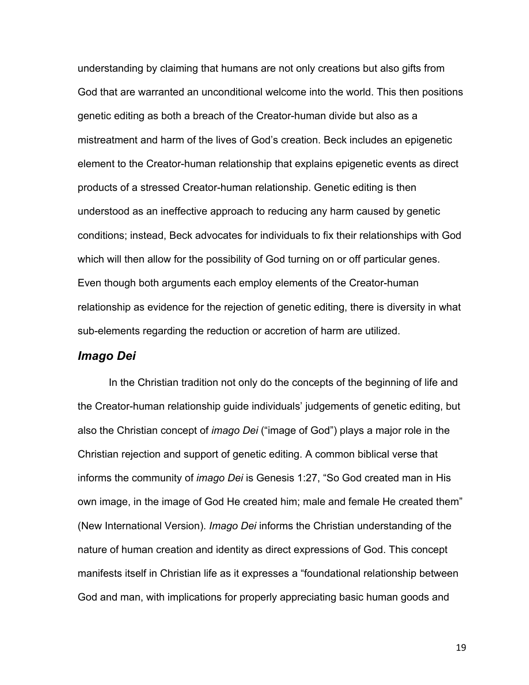understanding by claiming that humans are not only creations but also gifts from God that are warranted an unconditional welcome into the world. This then positions genetic editing as both a breach of the Creator-human divide but also as a mistreatment and harm of the lives of God's creation. Beck includes an epigenetic element to the Creator-human relationship that explains epigenetic events as direct products of a stressed Creator-human relationship. Genetic editing is then understood as an ineffective approach to reducing any harm caused by genetic conditions; instead, Beck advocates for individuals to fix their relationships with God which will then allow for the possibility of God turning on or off particular genes. Even though both arguments each employ elements of the Creator-human relationship as evidence for the rejection of genetic editing, there is diversity in what sub-elements regarding the reduction or accretion of harm are utilized.

### *Imago Dei*

In the Christian tradition not only do the concepts of the beginning of life and the Creator-human relationship guide individuals' judgements of genetic editing, but also the Christian concept of *imago Dei* ("image of God") plays a major role in the Christian rejection and support of genetic editing. A common biblical verse that informs the community of *imago Dei* is Genesis 1:27, "So God created man in His own image, in the image of God He created him; male and female He created them" (New International Version). *Imago Dei* informs the Christian understanding of the nature of human creation and identity as direct expressions of God. This concept manifests itself in Christian life as it expresses a "foundational relationship between God and man, with implications for properly appreciating basic human goods and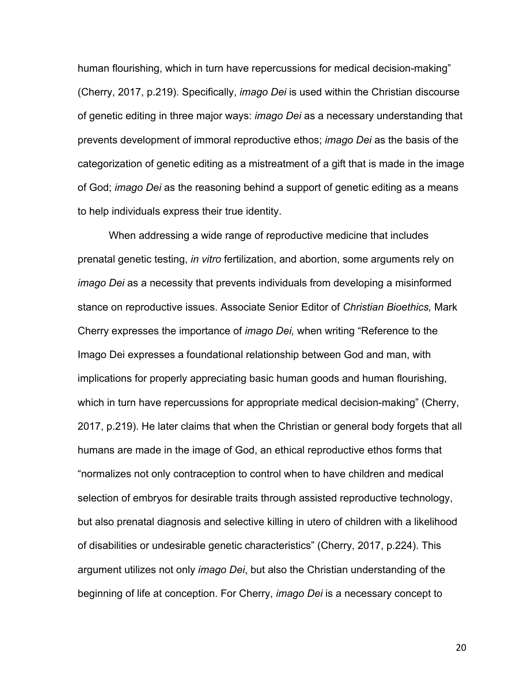human flourishing, which in turn have repercussions for medical decision-making" (Cherry, 2017, p.219). Specifically, *imago Dei* is used within the Christian discourse of genetic editing in three major ways: *imago Dei* as a necessary understanding that prevents development of immoral reproductive ethos; *imago Dei* as the basis of the categorization of genetic editing as a mistreatment of a gift that is made in the image of God; *imago Dei* as the reasoning behind a support of genetic editing as a means to help individuals express their true identity.

When addressing a wide range of reproductive medicine that includes prenatal genetic testing, *in vitro* fertilization, and abortion, some arguments rely on *imago Dei* as a necessity that prevents individuals from developing a misinformed stance on reproductive issues. Associate Senior Editor of *Christian Bioethics,* Mark Cherry expresses the importance of *imago Dei,* when writing "Reference to the Imago Dei expresses a foundational relationship between God and man, with implications for properly appreciating basic human goods and human flourishing, which in turn have repercussions for appropriate medical decision-making" (Cherry, 2017, p.219). He later claims that when the Christian or general body forgets that all humans are made in the image of God, an ethical reproductive ethos forms that "normalizes not only contraception to control when to have children and medical selection of embryos for desirable traits through assisted reproductive technology, but also prenatal diagnosis and selective killing in utero of children with a likelihood of disabilities or undesirable genetic characteristics" (Cherry, 2017, p.224). This argument utilizes not only *imago Dei*, but also the Christian understanding of the beginning of life at conception. For Cherry, *imago Dei* is a necessary concept to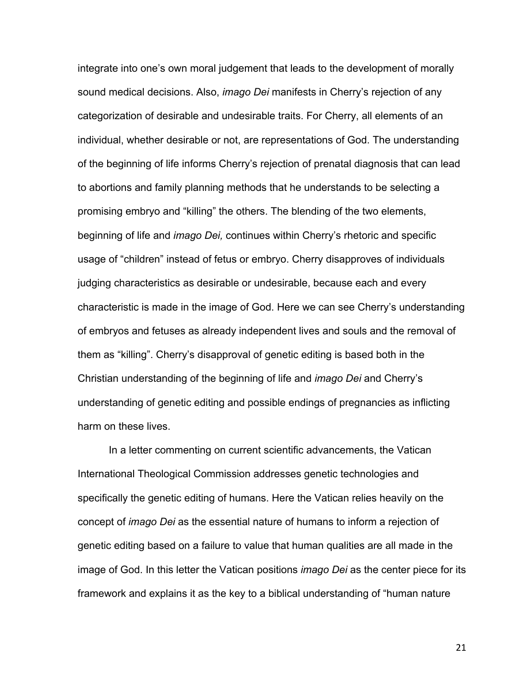integrate into one's own moral judgement that leads to the development of morally sound medical decisions. Also, *imago Dei* manifests in Cherry's rejection of any categorization of desirable and undesirable traits. For Cherry, all elements of an individual, whether desirable or not, are representations of God. The understanding of the beginning of life informs Cherry's rejection of prenatal diagnosis that can lead to abortions and family planning methods that he understands to be selecting a promising embryo and "killing" the others. The blending of the two elements, beginning of life and *imago Dei,* continues within Cherry's rhetoric and specific usage of "children" instead of fetus or embryo. Cherry disapproves of individuals judging characteristics as desirable or undesirable, because each and every characteristic is made in the image of God. Here we can see Cherry's understanding of embryos and fetuses as already independent lives and souls and the removal of them as "killing". Cherry's disapproval of genetic editing is based both in the Christian understanding of the beginning of life and *imago Dei* and Cherry's understanding of genetic editing and possible endings of pregnancies as inflicting harm on these lives.

In a letter commenting on current scientific advancements, the Vatican International Theological Commission addresses genetic technologies and specifically the genetic editing of humans. Here the Vatican relies heavily on the concept of *imago Dei* as the essential nature of humans to inform a rejection of genetic editing based on a failure to value that human qualities are all made in the image of God. In this letter the Vatican positions *imago Dei* as the center piece for its framework and explains it as the key to a biblical understanding of "human nature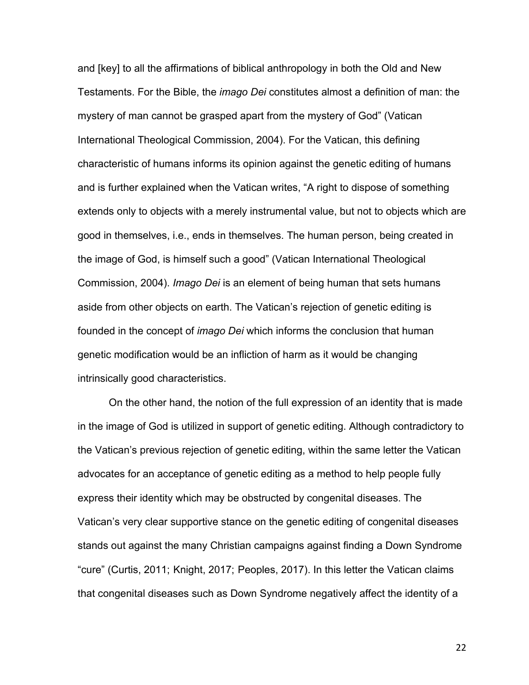and [key] to all the affirmations of biblical anthropology in both the Old and New Testaments. For the Bible, the *imago Dei* constitutes almost a definition of man: the mystery of man cannot be grasped apart from the mystery of God" (Vatican International Theological Commission, 2004). For the Vatican, this defining characteristic of humans informs its opinion against the genetic editing of humans and is further explained when the Vatican writes, "A right to dispose of something extends only to objects with a merely instrumental value, but not to objects which are good in themselves, i.e., ends in themselves. The human person, being created in the image of God, is himself such a good" (Vatican International Theological Commission, 2004). *Imago Dei* is an element of being human that sets humans aside from other objects on earth. The Vatican's rejection of genetic editing is founded in the concept of *imago Dei* which informs the conclusion that human genetic modification would be an infliction of harm as it would be changing intrinsically good characteristics.

On the other hand, the notion of the full expression of an identity that is made in the image of God is utilized in support of genetic editing. Although contradictory to the Vatican's previous rejection of genetic editing, within the same letter the Vatican advocates for an acceptance of genetic editing as a method to help people fully express their identity which may be obstructed by congenital diseases. The Vatican's very clear supportive stance on the genetic editing of congenital diseases stands out against the many Christian campaigns against finding a Down Syndrome "cure" (Curtis, 2011; Knight, 2017; Peoples, 2017). In this letter the Vatican claims that congenital diseases such as Down Syndrome negatively affect the identity of a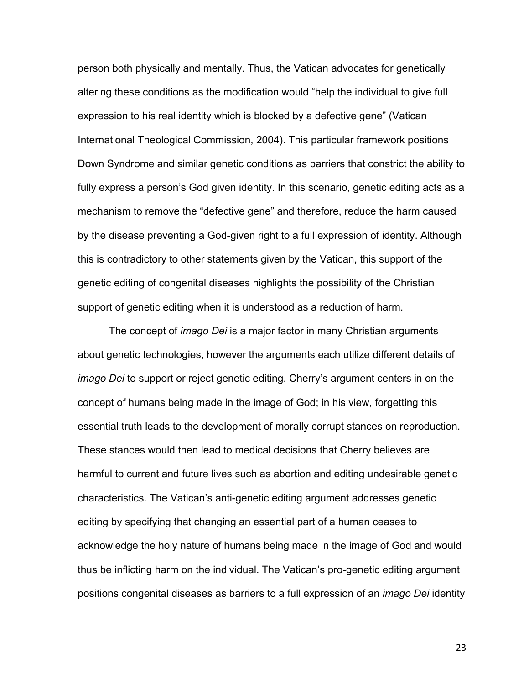person both physically and mentally. Thus, the Vatican advocates for genetically altering these conditions as the modification would "help the individual to give full expression to his real identity which is blocked by a defective gene" (Vatican International Theological Commission, 2004). This particular framework positions Down Syndrome and similar genetic conditions as barriers that constrict the ability to fully express a person's God given identity. In this scenario, genetic editing acts as a mechanism to remove the "defective gene" and therefore, reduce the harm caused by the disease preventing a God-given right to a full expression of identity. Although this is contradictory to other statements given by the Vatican, this support of the genetic editing of congenital diseases highlights the possibility of the Christian support of genetic editing when it is understood as a reduction of harm.

The concept of *imago Dei* is a major factor in many Christian arguments about genetic technologies, however the arguments each utilize different details of *imago Dei* to support or reject genetic editing. Cherry's argument centers in on the concept of humans being made in the image of God; in his view, forgetting this essential truth leads to the development of morally corrupt stances on reproduction. These stances would then lead to medical decisions that Cherry believes are harmful to current and future lives such as abortion and editing undesirable genetic characteristics. The Vatican's anti-genetic editing argument addresses genetic editing by specifying that changing an essential part of a human ceases to acknowledge the holy nature of humans being made in the image of God and would thus be inflicting harm on the individual. The Vatican's pro-genetic editing argument positions congenital diseases as barriers to a full expression of an *imago Dei* identity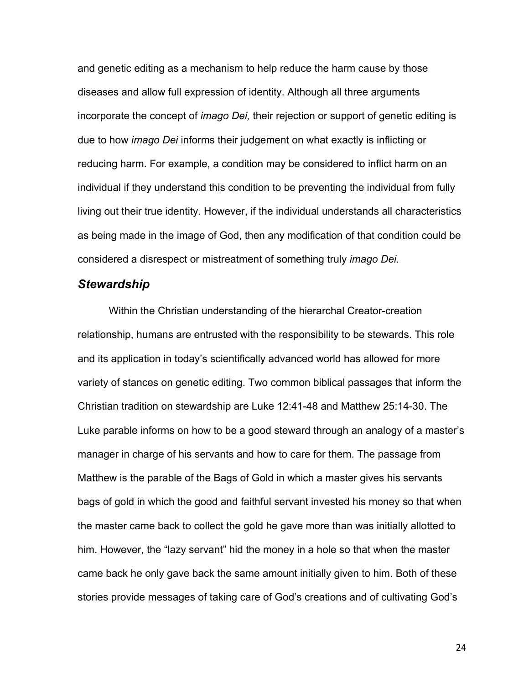and genetic editing as a mechanism to help reduce the harm cause by those diseases and allow full expression of identity. Although all three arguments incorporate the concept of *imago Dei,* their rejection or support of genetic editing is due to how *imago Dei* informs their judgement on what exactly is inflicting or reducing harm. For example, a condition may be considered to inflict harm on an individual if they understand this condition to be preventing the individual from fully living out their true identity. However, if the individual understands all characteristics as being made in the image of God, then any modification of that condition could be considered a disrespect or mistreatment of something truly *imago Dei.*

### *Stewardship*

Within the Christian understanding of the hierarchal Creator-creation relationship, humans are entrusted with the responsibility to be stewards. This role and its application in today's scientifically advanced world has allowed for more variety of stances on genetic editing. Two common biblical passages that inform the Christian tradition on stewardship are Luke 12:41-48 and Matthew 25:14-30. The Luke parable informs on how to be a good steward through an analogy of a master's manager in charge of his servants and how to care for them. The passage from Matthew is the parable of the Bags of Gold in which a master gives his servants bags of gold in which the good and faithful servant invested his money so that when the master came back to collect the gold he gave more than was initially allotted to him. However, the "lazy servant" hid the money in a hole so that when the master came back he only gave back the same amount initially given to him. Both of these stories provide messages of taking care of God's creations and of cultivating God's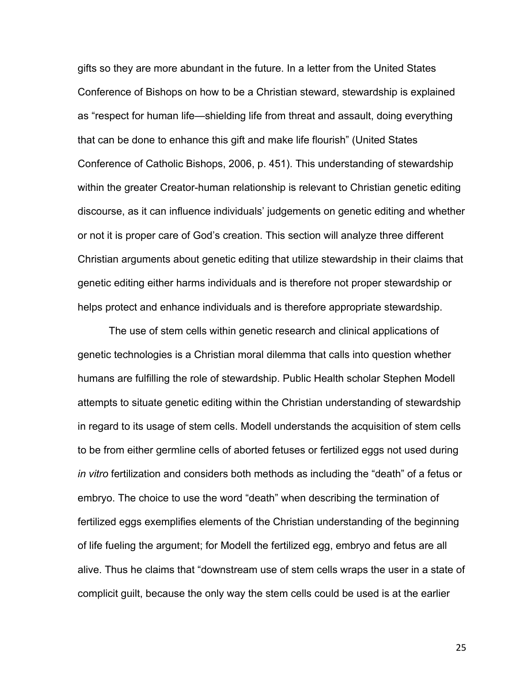gifts so they are more abundant in the future. In a letter from the United States Conference of Bishops on how to be a Christian steward, stewardship is explained as "respect for human life—shielding life from threat and assault, doing everything that can be done to enhance this gift and make life flourish" (United States Conference of Catholic Bishops, 2006, p. 451). This understanding of stewardship within the greater Creator-human relationship is relevant to Christian genetic editing discourse, as it can influence individuals' judgements on genetic editing and whether or not it is proper care of God's creation. This section will analyze three different Christian arguments about genetic editing that utilize stewardship in their claims that genetic editing either harms individuals and is therefore not proper stewardship or helps protect and enhance individuals and is therefore appropriate stewardship.

The use of stem cells within genetic research and clinical applications of genetic technologies is a Christian moral dilemma that calls into question whether humans are fulfilling the role of stewardship. Public Health scholar Stephen Modell attempts to situate genetic editing within the Christian understanding of stewardship in regard to its usage of stem cells. Modell understands the acquisition of stem cells to be from either germline cells of aborted fetuses or fertilized eggs not used during *in vitro* fertilization and considers both methods as including the "death" of a fetus or embryo. The choice to use the word "death" when describing the termination of fertilized eggs exemplifies elements of the Christian understanding of the beginning of life fueling the argument; for Modell the fertilized egg, embryo and fetus are all alive. Thus he claims that "downstream use of stem cells wraps the user in a state of complicit guilt, because the only way the stem cells could be used is at the earlier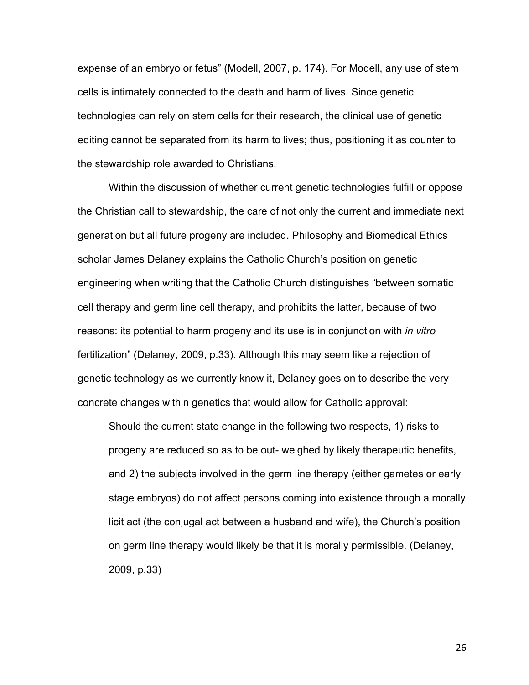expense of an embryo or fetus" (Modell, 2007, p. 174). For Modell, any use of stem cells is intimately connected to the death and harm of lives. Since genetic technologies can rely on stem cells for their research, the clinical use of genetic editing cannot be separated from its harm to lives; thus, positioning it as counter to the stewardship role awarded to Christians.

Within the discussion of whether current genetic technologies fulfill or oppose the Christian call to stewardship, the care of not only the current and immediate next generation but all future progeny are included. Philosophy and Biomedical Ethics scholar James Delaney explains the Catholic Church's position on genetic engineering when writing that the Catholic Church distinguishes "between somatic cell therapy and germ line cell therapy, and prohibits the latter, because of two reasons: its potential to harm progeny and its use is in conjunction with *in vitro*  fertilization" (Delaney, 2009, p.33). Although this may seem like a rejection of genetic technology as we currently know it, Delaney goes on to describe the very concrete changes within genetics that would allow for Catholic approval:

Should the current state change in the following two respects, 1) risks to progeny are reduced so as to be out- weighed by likely therapeutic benefits, and 2) the subjects involved in the germ line therapy (either gametes or early stage embryos) do not affect persons coming into existence through a morally licit act (the conjugal act between a husband and wife), the Church's position on germ line therapy would likely be that it is morally permissible. (Delaney, 2009, p.33)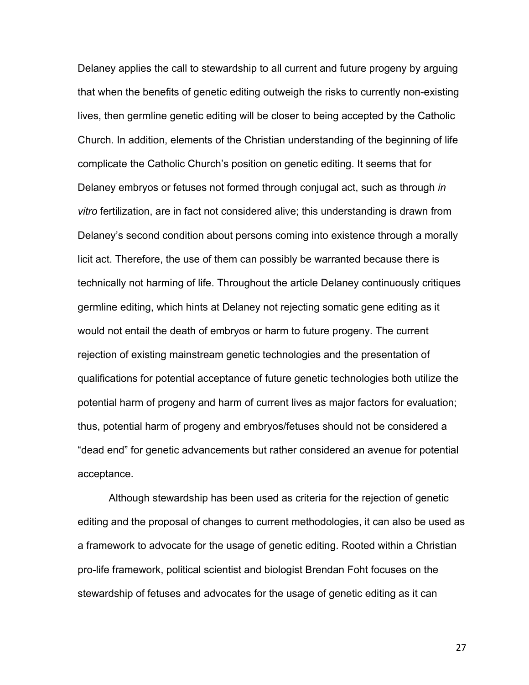Delaney applies the call to stewardship to all current and future progeny by arguing that when the benefits of genetic editing outweigh the risks to currently non-existing lives, then germline genetic editing will be closer to being accepted by the Catholic Church. In addition, elements of the Christian understanding of the beginning of life complicate the Catholic Church's position on genetic editing. It seems that for Delaney embryos or fetuses not formed through conjugal act, such as through *in vitro* fertilization, are in fact not considered alive; this understanding is drawn from Delaney's second condition about persons coming into existence through a morally licit act. Therefore, the use of them can possibly be warranted because there is technically not harming of life. Throughout the article Delaney continuously critiques germline editing, which hints at Delaney not rejecting somatic gene editing as it would not entail the death of embryos or harm to future progeny. The current rejection of existing mainstream genetic technologies and the presentation of qualifications for potential acceptance of future genetic technologies both utilize the potential harm of progeny and harm of current lives as major factors for evaluation; thus, potential harm of progeny and embryos/fetuses should not be considered a "dead end" for genetic advancements but rather considered an avenue for potential acceptance.

Although stewardship has been used as criteria for the rejection of genetic editing and the proposal of changes to current methodologies, it can also be used as a framework to advocate for the usage of genetic editing. Rooted within a Christian pro-life framework, political scientist and biologist Brendan Foht focuses on the stewardship of fetuses and advocates for the usage of genetic editing as it can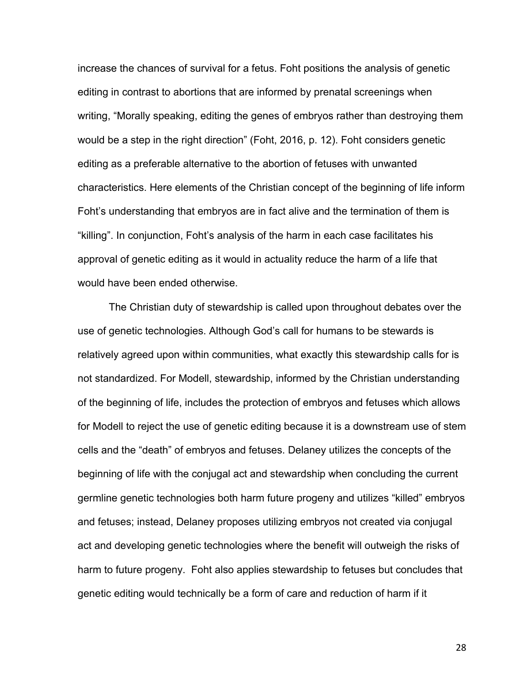increase the chances of survival for a fetus. Foht positions the analysis of genetic editing in contrast to abortions that are informed by prenatal screenings when writing, "Morally speaking, editing the genes of embryos rather than destroying them would be a step in the right direction" (Foht, 2016, p. 12). Foht considers genetic editing as a preferable alternative to the abortion of fetuses with unwanted characteristics. Here elements of the Christian concept of the beginning of life inform Foht's understanding that embryos are in fact alive and the termination of them is "killing". In conjunction, Foht's analysis of the harm in each case facilitates his approval of genetic editing as it would in actuality reduce the harm of a life that would have been ended otherwise.

The Christian duty of stewardship is called upon throughout debates over the use of genetic technologies. Although God's call for humans to be stewards is relatively agreed upon within communities, what exactly this stewardship calls for is not standardized. For Modell, stewardship, informed by the Christian understanding of the beginning of life, includes the protection of embryos and fetuses which allows for Modell to reject the use of genetic editing because it is a downstream use of stem cells and the "death" of embryos and fetuses. Delaney utilizes the concepts of the beginning of life with the conjugal act and stewardship when concluding the current germline genetic technologies both harm future progeny and utilizes "killed" embryos and fetuses; instead, Delaney proposes utilizing embryos not created via conjugal act and developing genetic technologies where the benefit will outweigh the risks of harm to future progeny. Foht also applies stewardship to fetuses but concludes that genetic editing would technically be a form of care and reduction of harm if it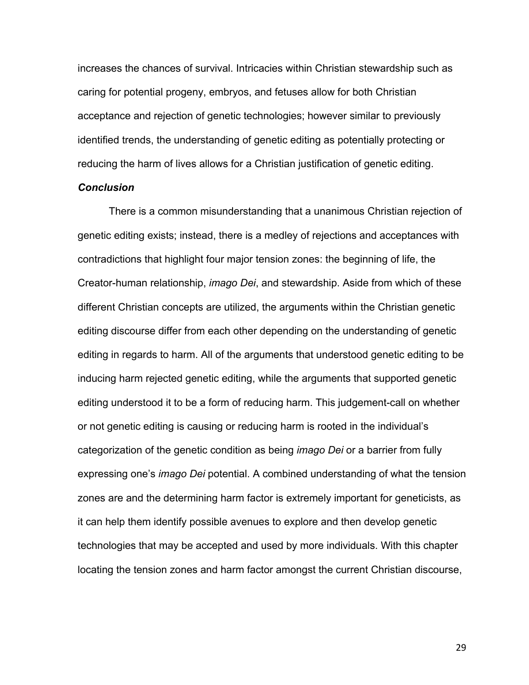increases the chances of survival. Intricacies within Christian stewardship such as caring for potential progeny, embryos, and fetuses allow for both Christian acceptance and rejection of genetic technologies; however similar to previously identified trends, the understanding of genetic editing as potentially protecting or reducing the harm of lives allows for a Christian justification of genetic editing.

### *Conclusion*

There is a common misunderstanding that a unanimous Christian rejection of genetic editing exists; instead, there is a medley of rejections and acceptances with contradictions that highlight four major tension zones: the beginning of life, the Creator-human relationship, *imago Dei*, and stewardship. Aside from which of these different Christian concepts are utilized, the arguments within the Christian genetic editing discourse differ from each other depending on the understanding of genetic editing in regards to harm. All of the arguments that understood genetic editing to be inducing harm rejected genetic editing, while the arguments that supported genetic editing understood it to be a form of reducing harm. This judgement-call on whether or not genetic editing is causing or reducing harm is rooted in the individual's categorization of the genetic condition as being *imago Dei* or a barrier from fully expressing one's *imago Dei* potential. A combined understanding of what the tension zones are and the determining harm factor is extremely important for geneticists, as it can help them identify possible avenues to explore and then develop genetic technologies that may be accepted and used by more individuals. With this chapter locating the tension zones and harm factor amongst the current Christian discourse,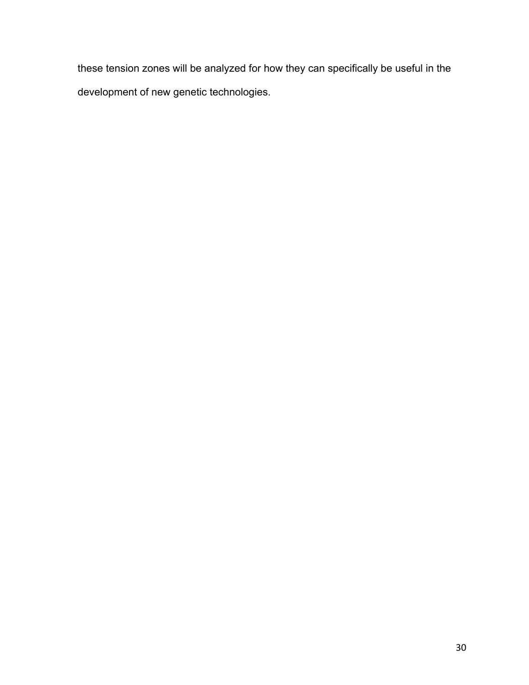these tension zones will be analyzed for how they can specifically be useful in the development of new genetic technologies.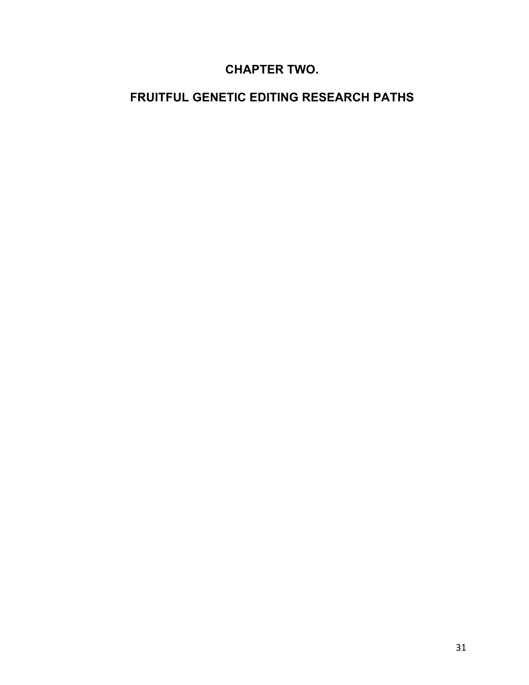# **CHAPTER TWO.**

# **FRUITFUL GENETIC EDITING RESEARCH PATHS**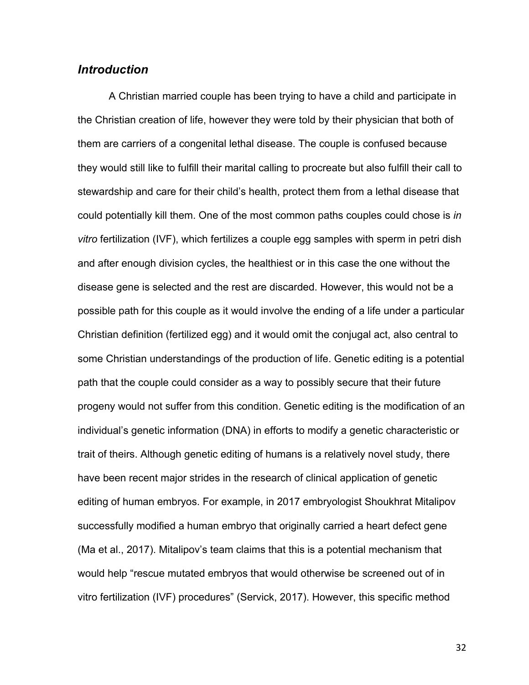### *Introduction*

A Christian married couple has been trying to have a child and participate in the Christian creation of life, however they were told by their physician that both of them are carriers of a congenital lethal disease. The couple is confused because they would still like to fulfill their marital calling to procreate but also fulfill their call to stewardship and care for their child's health, protect them from a lethal disease that could potentially kill them. One of the most common paths couples could chose is *in vitro* fertilization (IVF), which fertilizes a couple egg samples with sperm in petri dish and after enough division cycles, the healthiest or in this case the one without the disease gene is selected and the rest are discarded. However, this would not be a possible path for this couple as it would involve the ending of a life under a particular Christian definition (fertilized egg) and it would omit the conjugal act, also central to some Christian understandings of the production of life. Genetic editing is a potential path that the couple could consider as a way to possibly secure that their future progeny would not suffer from this condition. Genetic editing is the modification of an individual's genetic information (DNA) in efforts to modify a genetic characteristic or trait of theirs. Although genetic editing of humans is a relatively novel study, there have been recent major strides in the research of clinical application of genetic editing of human embryos. For example, in 2017 embryologist Shoukhrat Mitalipov successfully modified a human embryo that originally carried a heart defect gene (Ma et al., 2017). Mitalipov's team claims that this is a potential mechanism that would help "rescue mutated embryos that would otherwise be screened out of in vitro fertilization (IVF) procedures" (Servick, 2017). However, this specific method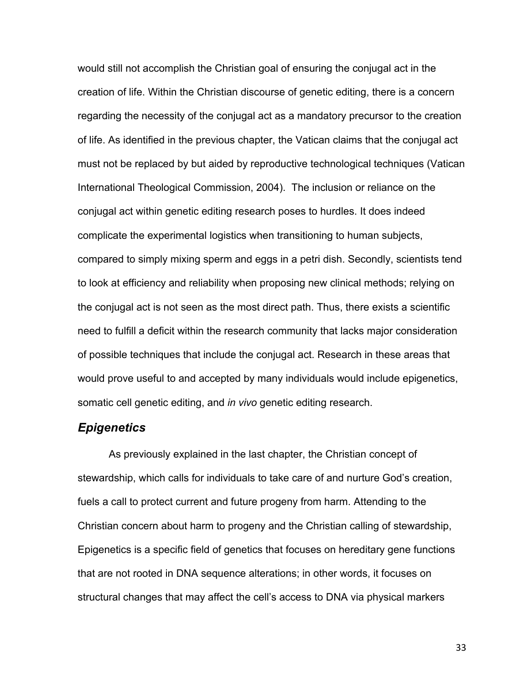would still not accomplish the Christian goal of ensuring the conjugal act in the creation of life. Within the Christian discourse of genetic editing, there is a concern regarding the necessity of the conjugal act as a mandatory precursor to the creation of life. As identified in the previous chapter, the Vatican claims that the conjugal act must not be replaced by but aided by reproductive technological techniques (Vatican International Theological Commission, 2004). The inclusion or reliance on the conjugal act within genetic editing research poses to hurdles. It does indeed complicate the experimental logistics when transitioning to human subjects, compared to simply mixing sperm and eggs in a petri dish. Secondly, scientists tend to look at efficiency and reliability when proposing new clinical methods; relying on the conjugal act is not seen as the most direct path. Thus, there exists a scientific need to fulfill a deficit within the research community that lacks major consideration of possible techniques that include the conjugal act. Research in these areas that would prove useful to and accepted by many individuals would include epigenetics, somatic cell genetic editing, and *in vivo* genetic editing research.

## *Epigenetics*

As previously explained in the last chapter, the Christian concept of stewardship, which calls for individuals to take care of and nurture God's creation, fuels a call to protect current and future progeny from harm. Attending to the Christian concern about harm to progeny and the Christian calling of stewardship, Epigenetics is a specific field of genetics that focuses on hereditary gene functions that are not rooted in DNA sequence alterations; in other words, it focuses on structural changes that may affect the cell's access to DNA via physical markers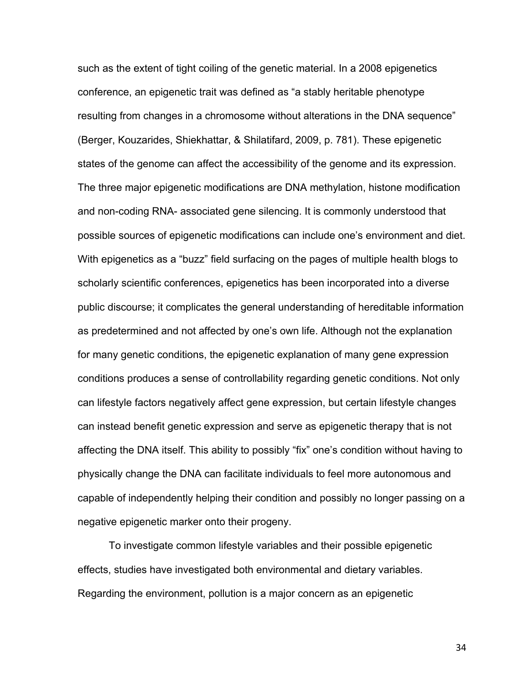such as the extent of tight coiling of the genetic material. In a 2008 epigenetics conference, an epigenetic trait was defined as "a stably heritable phenotype resulting from changes in a chromosome without alterations in the DNA sequence" (Berger, Kouzarides, Shiekhattar, & Shilatifard, 2009, p. 781). These epigenetic states of the genome can affect the accessibility of the genome and its expression. The three major epigenetic modifications are DNA methylation, histone modification and non-coding RNA- associated gene silencing. It is commonly understood that possible sources of epigenetic modifications can include one's environment and diet. With epigenetics as a "buzz" field surfacing on the pages of multiple health blogs to scholarly scientific conferences, epigenetics has been incorporated into a diverse public discourse; it complicates the general understanding of hereditable information as predetermined and not affected by one's own life. Although not the explanation for many genetic conditions, the epigenetic explanation of many gene expression conditions produces a sense of controllability regarding genetic conditions. Not only can lifestyle factors negatively affect gene expression, but certain lifestyle changes can instead benefit genetic expression and serve as epigenetic therapy that is not affecting the DNA itself. This ability to possibly "fix" one's condition without having to physically change the DNA can facilitate individuals to feel more autonomous and capable of independently helping their condition and possibly no longer passing on a negative epigenetic marker onto their progeny.

To investigate common lifestyle variables and their possible epigenetic effects, studies have investigated both environmental and dietary variables. Regarding the environment, pollution is a major concern as an epigenetic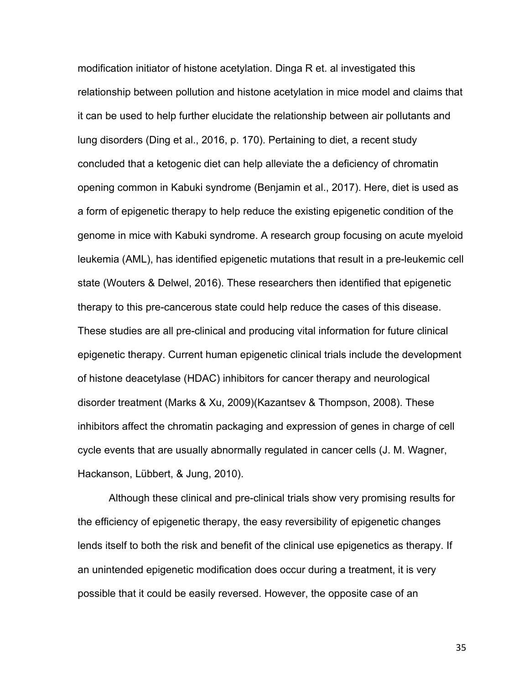modification initiator of histone acetylation. Dinga R et. al investigated this relationship between pollution and histone acetylation in mice model and claims that it can be used to help further elucidate the relationship between air pollutants and lung disorders (Ding et al., 2016, p. 170). Pertaining to diet, a recent study concluded that a ketogenic diet can help alleviate the a deficiency of chromatin opening common in Kabuki syndrome (Benjamin et al., 2017). Here, diet is used as a form of epigenetic therapy to help reduce the existing epigenetic condition of the genome in mice with Kabuki syndrome. A research group focusing on acute myeloid leukemia (AML), has identified epigenetic mutations that result in a pre-leukemic cell state (Wouters & Delwel, 2016). These researchers then identified that epigenetic therapy to this pre-cancerous state could help reduce the cases of this disease. These studies are all pre-clinical and producing vital information for future clinical epigenetic therapy. Current human epigenetic clinical trials include the development of histone deacetylase (HDAC) inhibitors for cancer therapy and neurological disorder treatment (Marks & Xu, 2009)(Kazantsev & Thompson, 2008). These inhibitors affect the chromatin packaging and expression of genes in charge of cell cycle events that are usually abnormally regulated in cancer cells (J. M. Wagner, Hackanson, Lübbert, & Jung, 2010).

Although these clinical and pre-clinical trials show very promising results for the efficiency of epigenetic therapy, the easy reversibility of epigenetic changes lends itself to both the risk and benefit of the clinical use epigenetics as therapy. If an unintended epigenetic modification does occur during a treatment, it is very possible that it could be easily reversed. However, the opposite case of an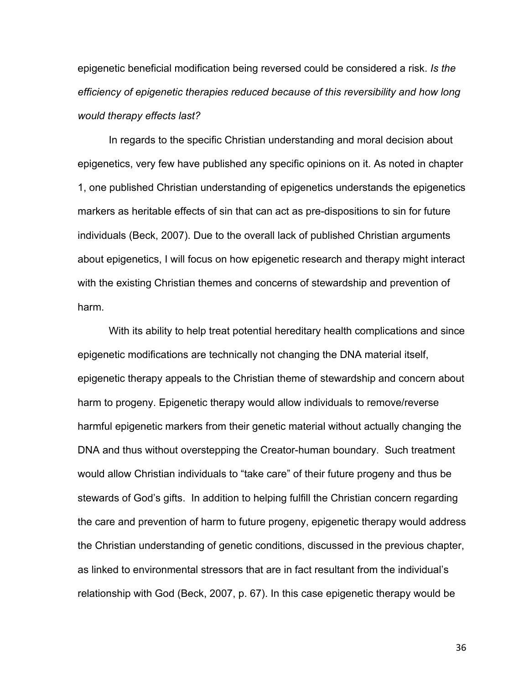epigenetic beneficial modification being reversed could be considered a risk. *Is the efficiency of epigenetic therapies reduced because of this reversibility and how long would therapy effects last?*

In regards to the specific Christian understanding and moral decision about epigenetics, very few have published any specific opinions on it. As noted in chapter 1, one published Christian understanding of epigenetics understands the epigenetics markers as heritable effects of sin that can act as pre-dispositions to sin for future individuals (Beck, 2007). Due to the overall lack of published Christian arguments about epigenetics, I will focus on how epigenetic research and therapy might interact with the existing Christian themes and concerns of stewardship and prevention of harm.

With its ability to help treat potential hereditary health complications and since epigenetic modifications are technically not changing the DNA material itself, epigenetic therapy appeals to the Christian theme of stewardship and concern about harm to progeny. Epigenetic therapy would allow individuals to remove/reverse harmful epigenetic markers from their genetic material without actually changing the DNA and thus without overstepping the Creator-human boundary. Such treatment would allow Christian individuals to "take care" of their future progeny and thus be stewards of God's gifts. In addition to helping fulfill the Christian concern regarding the care and prevention of harm to future progeny, epigenetic therapy would address the Christian understanding of genetic conditions, discussed in the previous chapter, as linked to environmental stressors that are in fact resultant from the individual's relationship with God (Beck, 2007, p. 67). In this case epigenetic therapy would be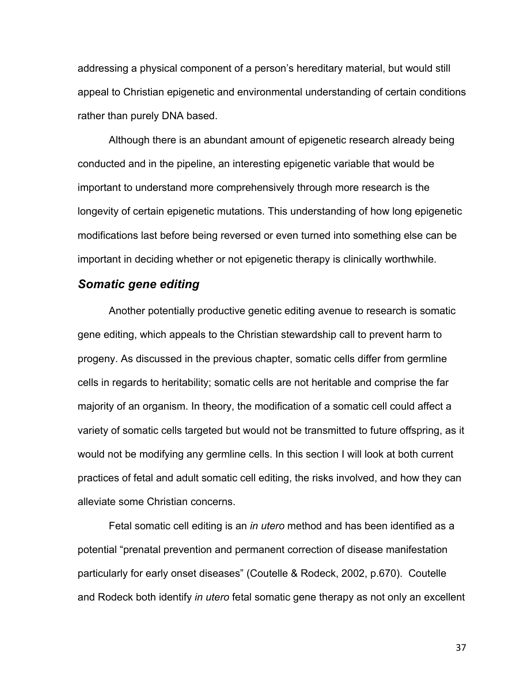addressing a physical component of a person's hereditary material, but would still appeal to Christian epigenetic and environmental understanding of certain conditions rather than purely DNA based.

Although there is an abundant amount of epigenetic research already being conducted and in the pipeline, an interesting epigenetic variable that would be important to understand more comprehensively through more research is the longevity of certain epigenetic mutations. This understanding of how long epigenetic modifications last before being reversed or even turned into something else can be important in deciding whether or not epigenetic therapy is clinically worthwhile.

### *Somatic gene editing*

Another potentially productive genetic editing avenue to research is somatic gene editing, which appeals to the Christian stewardship call to prevent harm to progeny. As discussed in the previous chapter, somatic cells differ from germline cells in regards to heritability; somatic cells are not heritable and comprise the far majority of an organism. In theory, the modification of a somatic cell could affect a variety of somatic cells targeted but would not be transmitted to future offspring, as it would not be modifying any germline cells. In this section I will look at both current practices of fetal and adult somatic cell editing, the risks involved, and how they can alleviate some Christian concerns.

Fetal somatic cell editing is an *in utero* method and has been identified as a potential "prenatal prevention and permanent correction of disease manifestation particularly for early onset diseases" (Coutelle & Rodeck, 2002, p.670). Coutelle and Rodeck both identify *in utero* fetal somatic gene therapy as not only an excellent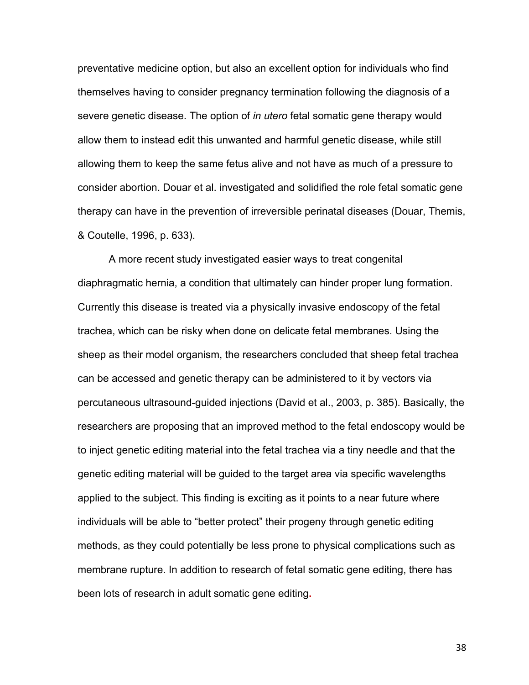preventative medicine option, but also an excellent option for individuals who find themselves having to consider pregnancy termination following the diagnosis of a severe genetic disease. The option of *in utero* fetal somatic gene therapy would allow them to instead edit this unwanted and harmful genetic disease, while still allowing them to keep the same fetus alive and not have as much of a pressure to consider abortion. Douar et al. investigated and solidified the role fetal somatic gene therapy can have in the prevention of irreversible perinatal diseases (Douar, Themis, & Coutelle, 1996, p. 633).

A more recent study investigated easier ways to treat congenital diaphragmatic hernia, a condition that ultimately can hinder proper lung formation. Currently this disease is treated via a physically invasive endoscopy of the fetal trachea, which can be risky when done on delicate fetal membranes. Using the sheep as their model organism, the researchers concluded that sheep fetal trachea can be accessed and genetic therapy can be administered to it by vectors via percutaneous ultrasound-guided injections (David et al., 2003, p. 385). Basically, the researchers are proposing that an improved method to the fetal endoscopy would be to inject genetic editing material into the fetal trachea via a tiny needle and that the genetic editing material will be guided to the target area via specific wavelengths applied to the subject. This finding is exciting as it points to a near future where individuals will be able to "better protect" their progeny through genetic editing methods, as they could potentially be less prone to physical complications such as membrane rupture. In addition to research of fetal somatic gene editing, there has been lots of research in adult somatic gene editing**.**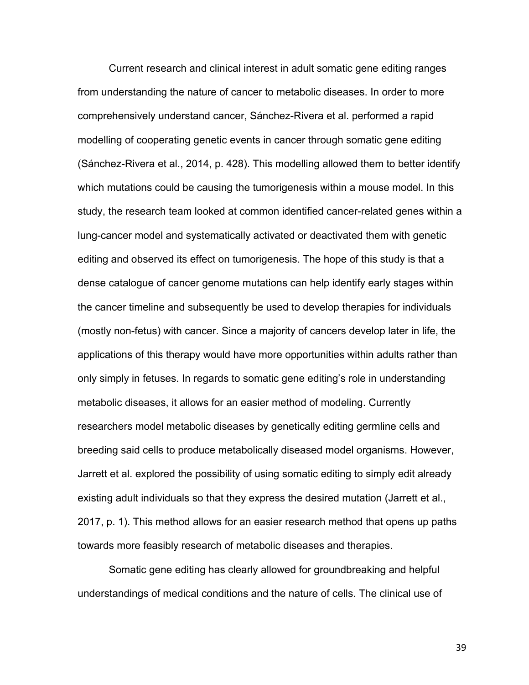Current research and clinical interest in adult somatic gene editing ranges from understanding the nature of cancer to metabolic diseases. In order to more comprehensively understand cancer, Sánchez-Rivera et al. performed a rapid modelling of cooperating genetic events in cancer through somatic gene editing (Sánchez-Rivera et al., 2014, p. 428). This modelling allowed them to better identify which mutations could be causing the tumorigenesis within a mouse model. In this study, the research team looked at common identified cancer-related genes within a lung-cancer model and systematically activated or deactivated them with genetic editing and observed its effect on tumorigenesis. The hope of this study is that a dense catalogue of cancer genome mutations can help identify early stages within the cancer timeline and subsequently be used to develop therapies for individuals (mostly non-fetus) with cancer. Since a majority of cancers develop later in life, the applications of this therapy would have more opportunities within adults rather than only simply in fetuses. In regards to somatic gene editing's role in understanding metabolic diseases, it allows for an easier method of modeling. Currently researchers model metabolic diseases by genetically editing germline cells and breeding said cells to produce metabolically diseased model organisms. However, Jarrett et al. explored the possibility of using somatic editing to simply edit already existing adult individuals so that they express the desired mutation (Jarrett et al., 2017, p. 1). This method allows for an easier research method that opens up paths towards more feasibly research of metabolic diseases and therapies.

Somatic gene editing has clearly allowed for groundbreaking and helpful understandings of medical conditions and the nature of cells. The clinical use of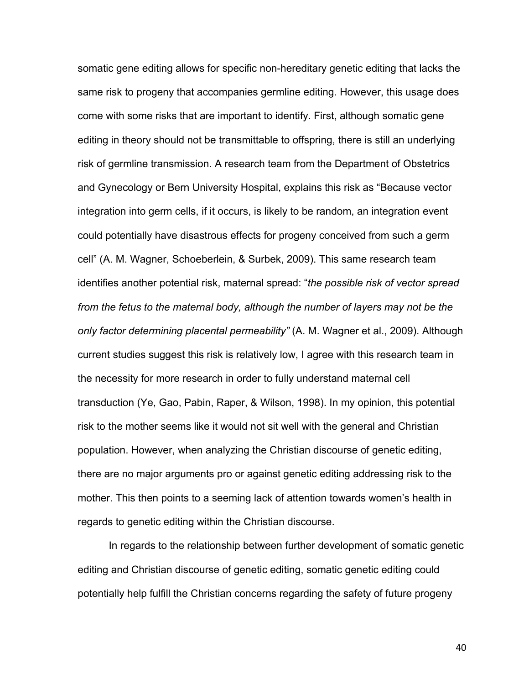somatic gene editing allows for specific non-hereditary genetic editing that lacks the same risk to progeny that accompanies germline editing. However, this usage does come with some risks that are important to identify. First, although somatic gene editing in theory should not be transmittable to offspring, there is still an underlying risk of germline transmission. A research team from the Department of Obstetrics and Gynecology or Bern University Hospital, explains this risk as "Because vector integration into germ cells, if it occurs, is likely to be random, an integration event could potentially have disastrous effects for progeny conceived from such a germ cell" (A. M. Wagner, Schoeberlein, & Surbek, 2009). This same research team identifies another potential risk, maternal spread: "*the possible risk of vector spread from the fetus to the maternal body, although the number of layers may not be the only factor determining placental permeability"* (A. M. Wagner et al., 2009). Although current studies suggest this risk is relatively low, I agree with this research team in the necessity for more research in order to fully understand maternal cell transduction (Ye, Gao, Pabin, Raper, & Wilson, 1998). In my opinion, this potential risk to the mother seems like it would not sit well with the general and Christian population. However, when analyzing the Christian discourse of genetic editing, there are no major arguments pro or against genetic editing addressing risk to the mother. This then points to a seeming lack of attention towards women's health in regards to genetic editing within the Christian discourse.

In regards to the relationship between further development of somatic genetic editing and Christian discourse of genetic editing, somatic genetic editing could potentially help fulfill the Christian concerns regarding the safety of future progeny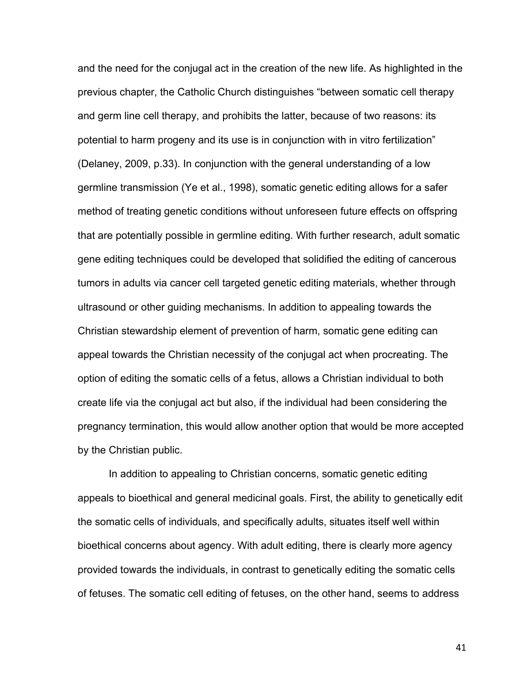and the need for the conjugal act in the creation of the new life. As highlighted in the previous chapter, the Catholic Church distinguishes "between somatic cell therapy and germ line cell therapy, and prohibits the latter, because of two reasons: its potential to harm progeny and its use is in conjunction with in vitro fertilization" (Delaney, 2009, p.33). In conjunction with the general understanding of a low germline transmission (Ye et al., 1998), somatic genetic editing allows for a safer method of treating genetic conditions without unforeseen future effects on offspring that are potentially possible in germline editing. With further research, adult somatic gene editing techniques could be developed that solidified the editing of cancerous tumors in adults via cancer cell targeted genetic editing materials, whether through ultrasound or other guiding mechanisms. In addition to appealing towards the Christian stewardship element of prevention of harm, somatic gene editing can appeal towards the Christian necessity of the conjugal act when procreating. The option of editing the somatic cells of a fetus, allows a Christian individual to both create life via the conjugal act but also, if the individual had been considering the pregnancy termination, this would allow another option that would be more accepted by the Christian public.

In addition to appealing to Christian concerns, somatic genetic editing appeals to bioethical and general medicinal goals. First, the ability to genetically edit the somatic cells of individuals, and specifically adults, situates itself well within bioethical concerns about agency. With adult editing, there is clearly more agency provided towards the individuals, in contrast to genetically editing the somatic cells of fetuses. The somatic cell editing of fetuses, on the other hand, seems to address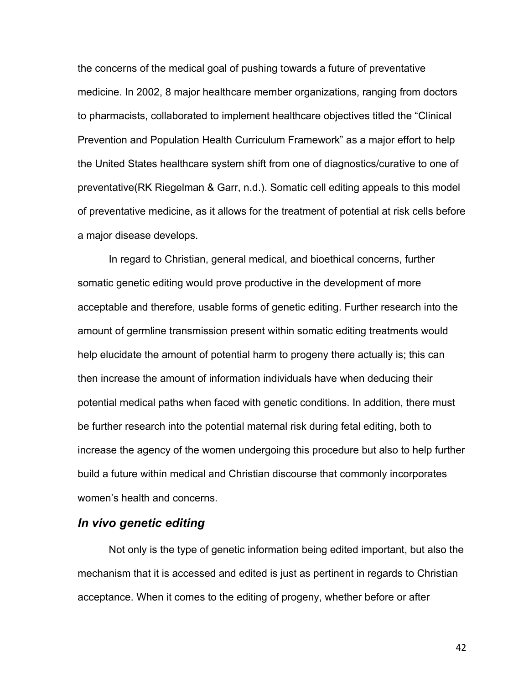the concerns of the medical goal of pushing towards a future of preventative medicine. In 2002, 8 major healthcare member organizations, ranging from doctors to pharmacists, collaborated to implement healthcare objectives titled the "Clinical Prevention and Population Health Curriculum Framework" as a major effort to help the United States healthcare system shift from one of diagnostics/curative to one of preventative(RK Riegelman & Garr, n.d.). Somatic cell editing appeals to this model of preventative medicine, as it allows for the treatment of potential at risk cells before a major disease develops.

In regard to Christian, general medical, and bioethical concerns, further somatic genetic editing would prove productive in the development of more acceptable and therefore, usable forms of genetic editing. Further research into the amount of germline transmission present within somatic editing treatments would help elucidate the amount of potential harm to progeny there actually is; this can then increase the amount of information individuals have when deducing their potential medical paths when faced with genetic conditions. In addition, there must be further research into the potential maternal risk during fetal editing, both to increase the agency of the women undergoing this procedure but also to help further build a future within medical and Christian discourse that commonly incorporates women's health and concerns.

## *In vivo genetic editing*

Not only is the type of genetic information being edited important, but also the mechanism that it is accessed and edited is just as pertinent in regards to Christian acceptance. When it comes to the editing of progeny, whether before or after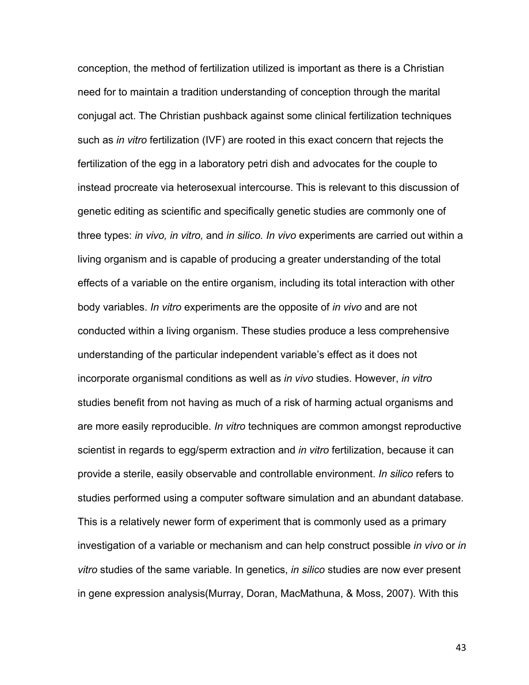conception, the method of fertilization utilized is important as there is a Christian need for to maintain a tradition understanding of conception through the marital conjugal act. The Christian pushback against some clinical fertilization techniques such as *in vitro* fertilization (IVF) are rooted in this exact concern that rejects the fertilization of the egg in a laboratory petri dish and advocates for the couple to instead procreate via heterosexual intercourse. This is relevant to this discussion of genetic editing as scientific and specifically genetic studies are commonly one of three types: *in vivo, in vitro,* and *in silico. In vivo* experiments are carried out within a living organism and is capable of producing a greater understanding of the total effects of a variable on the entire organism, including its total interaction with other body variables. *In vitro* experiments are the opposite of *in vivo* and are not conducted within a living organism. These studies produce a less comprehensive understanding of the particular independent variable's effect as it does not incorporate organismal conditions as well as *in vivo* studies. However, *in vitro*  studies benefit from not having as much of a risk of harming actual organisms and are more easily reproducible. *In vitro* techniques are common amongst reproductive scientist in regards to egg/sperm extraction and *in vitro* fertilization, because it can provide a sterile, easily observable and controllable environment. *In silico* refers to studies performed using a computer software simulation and an abundant database. This is a relatively newer form of experiment that is commonly used as a primary investigation of a variable or mechanism and can help construct possible *in vivo* or *in vitro* studies of the same variable. In genetics, *in silico* studies are now ever present in gene expression analysis(Murray, Doran, MacMathuna, & Moss, 2007). With this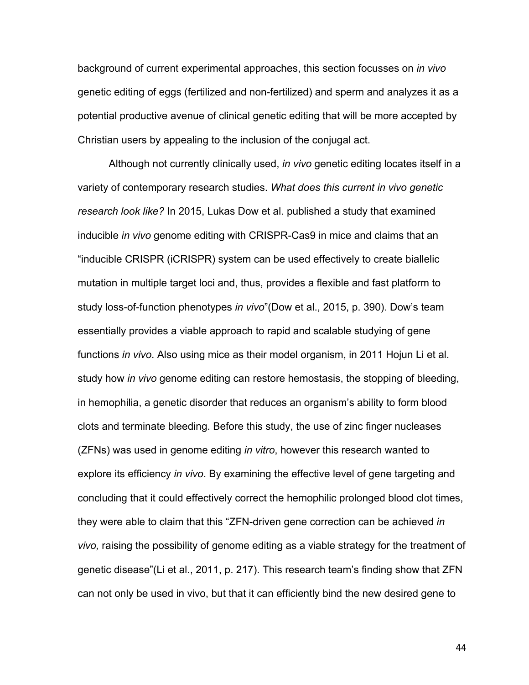background of current experimental approaches, this section focusses on *in vivo* genetic editing of eggs (fertilized and non-fertilized) and sperm and analyzes it as a potential productive avenue of clinical genetic editing that will be more accepted by Christian users by appealing to the inclusion of the conjugal act.

Although not currently clinically used, *in vivo* genetic editing locates itself in a variety of contemporary research studies. *What does this current in vivo genetic research look like?* In 2015, Lukas Dow et al. published a study that examined inducible *in vivo* genome editing with CRISPR-Cas9 in mice and claims that an "inducible CRISPR (iCRISPR) system can be used effectively to create biallelic mutation in multiple target loci and, thus, provides a flexible and fast platform to study loss-of-function phenotypes *in vivo*"(Dow et al., 2015, p. 390). Dow's team essentially provides a viable approach to rapid and scalable studying of gene functions *in vivo*. Also using mice as their model organism, in 2011 Hojun Li et al. study how *in vivo* genome editing can restore hemostasis, the stopping of bleeding, in hemophilia, a genetic disorder that reduces an organism's ability to form blood clots and terminate bleeding. Before this study, the use of zinc finger nucleases (ZFNs) was used in genome editing *in vitro*, however this research wanted to explore its efficiency *in vivo*. By examining the effective level of gene targeting and concluding that it could effectively correct the hemophilic prolonged blood clot times, they were able to claim that this "ZFN-driven gene correction can be achieved *in vivo,* raising the possibility of genome editing as a viable strategy for the treatment of genetic disease"(Li et al., 2011, p. 217). This research team's finding show that ZFN can not only be used in vivo, but that it can efficiently bind the new desired gene to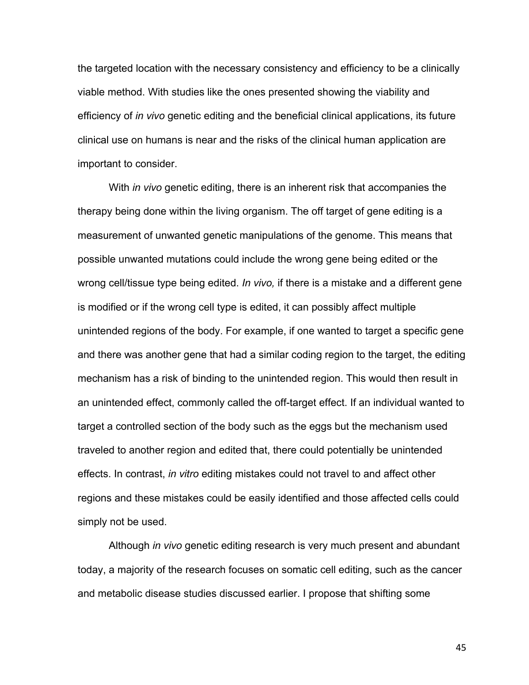the targeted location with the necessary consistency and efficiency to be a clinically viable method. With studies like the ones presented showing the viability and efficiency of *in vivo* genetic editing and the beneficial clinical applications, its future clinical use on humans is near and the risks of the clinical human application are important to consider.

With *in vivo* genetic editing, there is an inherent risk that accompanies the therapy being done within the living organism. The off target of gene editing is a measurement of unwanted genetic manipulations of the genome. This means that possible unwanted mutations could include the wrong gene being edited or the wrong cell/tissue type being edited. *In vivo,* if there is a mistake and a different gene is modified or if the wrong cell type is edited, it can possibly affect multiple unintended regions of the body. For example, if one wanted to target a specific gene and there was another gene that had a similar coding region to the target, the editing mechanism has a risk of binding to the unintended region. This would then result in an unintended effect, commonly called the off-target effect. If an individual wanted to target a controlled section of the body such as the eggs but the mechanism used traveled to another region and edited that, there could potentially be unintended effects. In contrast, *in vitro* editing mistakes could not travel to and affect other regions and these mistakes could be easily identified and those affected cells could simply not be used.

Although *in vivo* genetic editing research is very much present and abundant today, a majority of the research focuses on somatic cell editing, such as the cancer and metabolic disease studies discussed earlier. I propose that shifting some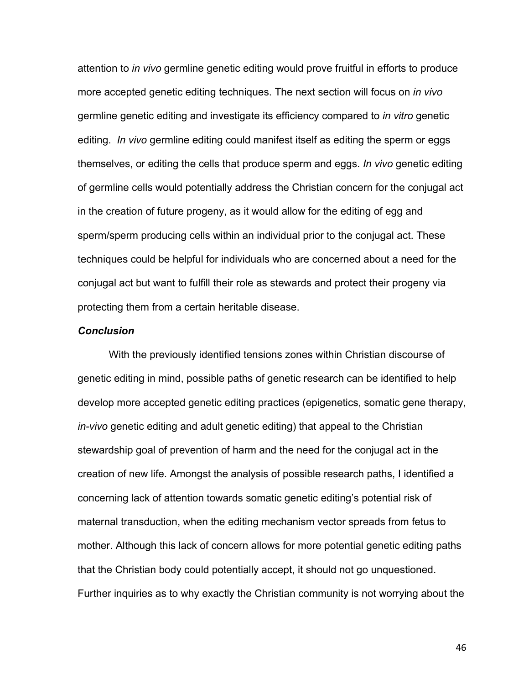attention to *in vivo* germline genetic editing would prove fruitful in efforts to produce more accepted genetic editing techniques. The next section will focus on *in vivo*  germline genetic editing and investigate its efficiency compared to *in vitro* genetic editing. *In vivo* germline editing could manifest itself as editing the sperm or eggs themselves, or editing the cells that produce sperm and eggs. *In vivo* genetic editing of germline cells would potentially address the Christian concern for the conjugal act in the creation of future progeny, as it would allow for the editing of egg and sperm/sperm producing cells within an individual prior to the conjugal act. These techniques could be helpful for individuals who are concerned about a need for the conjugal act but want to fulfill their role as stewards and protect their progeny via protecting them from a certain heritable disease.

#### *Conclusion*

With the previously identified tensions zones within Christian discourse of genetic editing in mind, possible paths of genetic research can be identified to help develop more accepted genetic editing practices (epigenetics, somatic gene therapy, *in-vivo* genetic editing and adult genetic editing) that appeal to the Christian stewardship goal of prevention of harm and the need for the conjugal act in the creation of new life. Amongst the analysis of possible research paths, I identified a concerning lack of attention towards somatic genetic editing's potential risk of maternal transduction, when the editing mechanism vector spreads from fetus to mother. Although this lack of concern allows for more potential genetic editing paths that the Christian body could potentially accept, it should not go unquestioned. Further inquiries as to why exactly the Christian community is not worrying about the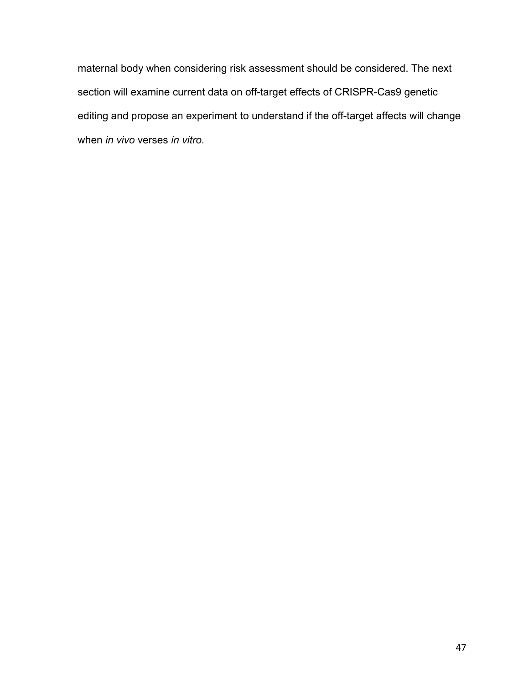maternal body when considering risk assessment should be considered. The next section will examine current data on off-target effects of CRISPR-Cas9 genetic editing and propose an experiment to understand if the off-target affects will change when *in vivo* verses *in vitro.*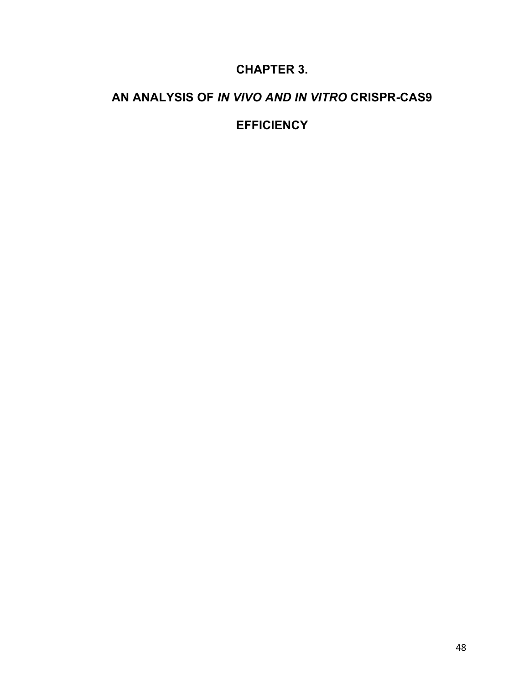# **CHAPTER 3.**

# **AN ANALYSIS OF** *IN VIVO AND IN VITRO* **CRISPR-CAS9**

# **EFFICIENCY**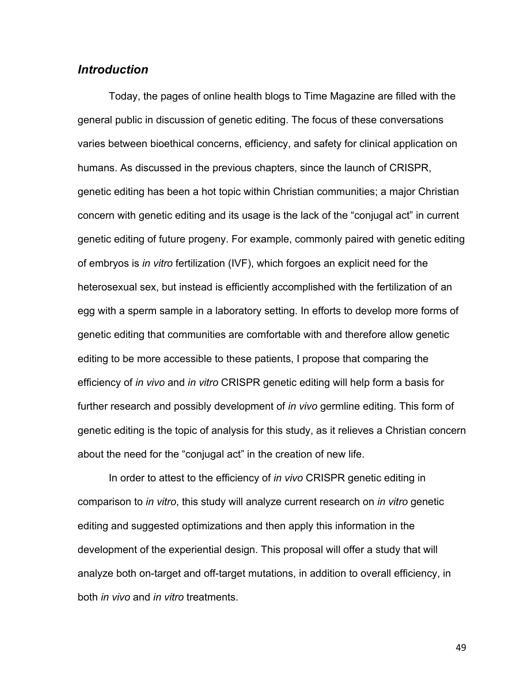### *Introduction*

Today, the pages of online health blogs to Time Magazine are filled with the general public in discussion of genetic editing. The focus of these conversations varies between bioethical concerns, efficiency, and safety for clinical application on humans. As discussed in the previous chapters, since the launch of CRISPR, genetic editing has been a hot topic within Christian communities; a major Christian concern with genetic editing and its usage is the lack of the "conjugal act" in current genetic editing of future progeny. For example, commonly paired with genetic editing of embryos is *in vitro* fertilization (IVF), which forgoes an explicit need for the heterosexual sex, but instead is efficiently accomplished with the fertilization of an egg with a sperm sample in a laboratory setting. In efforts to develop more forms of genetic editing that communities are comfortable with and therefore allow genetic editing to be more accessible to these patients, I propose that comparing the efficiency of *in vivo* and *in vitro* CRISPR genetic editing will help form a basis for further research and possibly development of *in vivo* germline editing. This form of genetic editing is the topic of analysis for this study, as it relieves a Christian concern about the need for the "conjugal act" in the creation of new life.

In order to attest to the efficiency of *in vivo* CRISPR genetic editing in comparison to *in vitro*, this study will analyze current research on *in vitro* genetic editing and suggested optimizations and then apply this information in the development of the experiential design. This proposal will offer a study that will analyze both on-target and off-target mutations, in addition to overall efficiency, in both *in vivo* and *in vitro* treatments.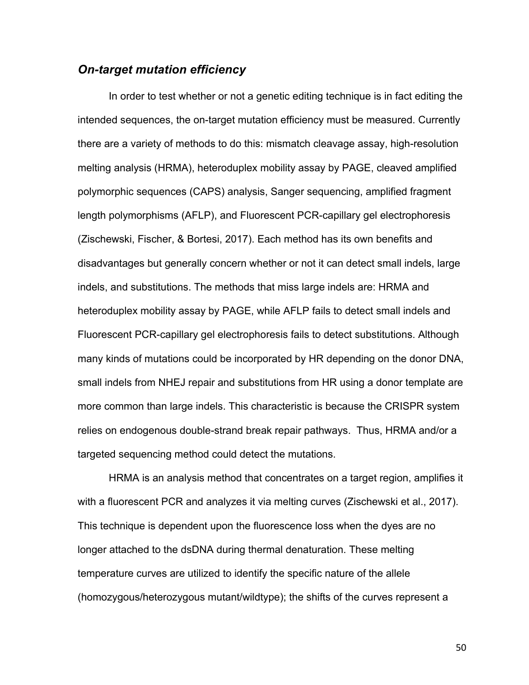# *On-target mutation efficiency*

In order to test whether or not a genetic editing technique is in fact editing the intended sequences, the on-target mutation efficiency must be measured. Currently there are a variety of methods to do this: mismatch cleavage assay, high-resolution melting analysis (HRMA), heteroduplex mobility assay by PAGE, cleaved amplified polymorphic sequences (CAPS) analysis, Sanger sequencing, amplified fragment length polymorphisms (AFLP), and Fluorescent PCR-capillary gel electrophoresis (Zischewski, Fischer, & Bortesi, 2017). Each method has its own benefits and disadvantages but generally concern whether or not it can detect small indels, large indels, and substitutions. The methods that miss large indels are: HRMA and heteroduplex mobility assay by PAGE, while AFLP fails to detect small indels and Fluorescent PCR-capillary gel electrophoresis fails to detect substitutions. Although many kinds of mutations could be incorporated by HR depending on the donor DNA, small indels from NHEJ repair and substitutions from HR using a donor template are more common than large indels. This characteristic is because the CRISPR system relies on endogenous double-strand break repair pathways. Thus, HRMA and/or a targeted sequencing method could detect the mutations.

HRMA is an analysis method that concentrates on a target region, amplifies it with a fluorescent PCR and analyzes it via melting curves (Zischewski et al., 2017). This technique is dependent upon the fluorescence loss when the dyes are no longer attached to the dsDNA during thermal denaturation. These melting temperature curves are utilized to identify the specific nature of the allele (homozygous/heterozygous mutant/wildtype); the shifts of the curves represent a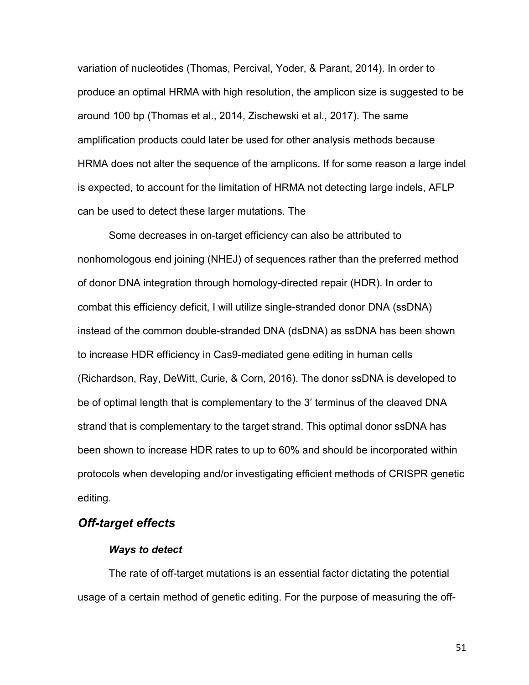variation of nucleotides (Thomas, Percival, Yoder, & Parant, 2014). In order to produce an optimal HRMA with high resolution, the amplicon size is suggested to be around 100 bp (Thomas et al., 2014, Zischewski et al., 2017). The same amplification products could later be used for other analysis methods because HRMA does not alter the sequence of the amplicons. If for some reason a large indel is expected, to account for the limitation of HRMA not detecting large indels, AFLP can be used to detect these larger mutations. The

Some decreases in on-target efficiency can also be attributed to nonhomologous end joining (NHEJ) of sequences rather than the preferred method of donor DNA integration through homology-directed repair (HDR). In order to combat this efficiency deficit, I will utilize single-stranded donor DNA (ssDNA) instead of the common double-stranded DNA (dsDNA) as ssDNA has been shown to increase HDR efficiency in Cas9-mediated gene editing in human cells (Richardson, Ray, DeWitt, Curie, & Corn, 2016). The donor ssDNA is developed to be of optimal length that is complementary to the 3' terminus of the cleaved DNA strand that is complementary to the target strand. This optimal donor ssDNA has been shown to increase HDR rates to up to 60% and should be incorporated within protocols when developing and/or investigating efficient methods of CRISPR genetic editing.

### *Off-target effects*

#### *Ways to detect*

The rate of off-target mutations is an essential factor dictating the potential usage of a certain method of genetic editing. For the purpose of measuring the off-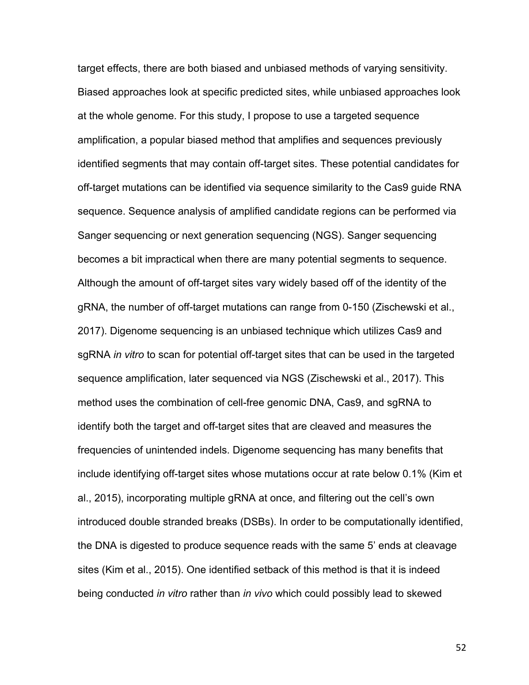target effects, there are both biased and unbiased methods of varying sensitivity. Biased approaches look at specific predicted sites, while unbiased approaches look at the whole genome. For this study, I propose to use a targeted sequence amplification, a popular biased method that amplifies and sequences previously identified segments that may contain off-target sites. These potential candidates for off-target mutations can be identified via sequence similarity to the Cas9 guide RNA sequence. Sequence analysis of amplified candidate regions can be performed via Sanger sequencing or next generation sequencing (NGS). Sanger sequencing becomes a bit impractical when there are many potential segments to sequence. Although the amount of off-target sites vary widely based off of the identity of the gRNA, the number of off-target mutations can range from 0-150 (Zischewski et al., 2017). Digenome sequencing is an unbiased technique which utilizes Cas9 and sgRNA *in vitro* to scan for potential off-target sites that can be used in the targeted sequence amplification, later sequenced via NGS (Zischewski et al., 2017). This method uses the combination of cell-free genomic DNA, Cas9, and sgRNA to identify both the target and off-target sites that are cleaved and measures the frequencies of unintended indels. Digenome sequencing has many benefits that include identifying off-target sites whose mutations occur at rate below 0.1% (Kim et al., 2015), incorporating multiple gRNA at once, and filtering out the cell's own introduced double stranded breaks (DSBs). In order to be computationally identified, the DNA is digested to produce sequence reads with the same 5' ends at cleavage sites (Kim et al., 2015). One identified setback of this method is that it is indeed being conducted *in vitro* rather than *in vivo* which could possibly lead to skewed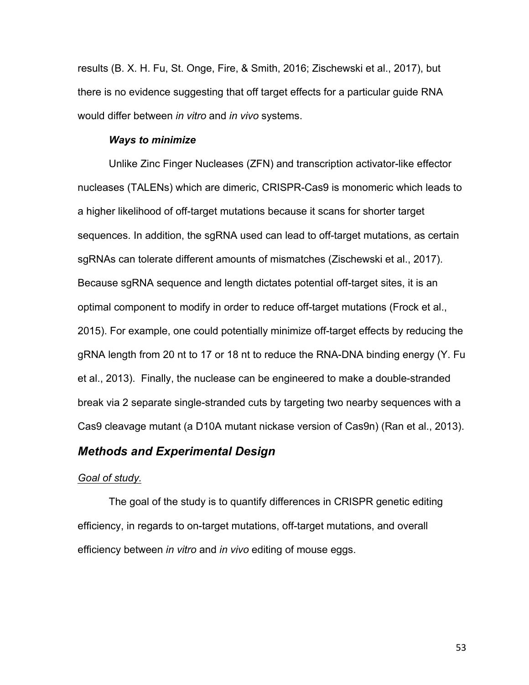results (B. X. H. Fu, St. Onge, Fire, & Smith, 2016; Zischewski et al., 2017), but there is no evidence suggesting that off target effects for a particular guide RNA would differ between *in vitro* and *in vivo* systems.

#### *Ways to minimize*

Unlike Zinc Finger Nucleases (ZFN) and transcription activator-like effector nucleases (TALENs) which are dimeric, CRISPR-Cas9 is monomeric which leads to a higher likelihood of off-target mutations because it scans for shorter target sequences. In addition, the sgRNA used can lead to off-target mutations, as certain sgRNAs can tolerate different amounts of mismatches (Zischewski et al., 2017). Because sgRNA sequence and length dictates potential off-target sites, it is an optimal component to modify in order to reduce off-target mutations (Frock et al., 2015). For example, one could potentially minimize off-target effects by reducing the gRNA length from 20 nt to 17 or 18 nt to reduce the RNA-DNA binding energy (Y. Fu et al., 2013). Finally, the nuclease can be engineered to make a double-stranded break via 2 separate single-stranded cuts by targeting two nearby sequences with a Cas9 cleavage mutant (a D10A mutant nickase version of Cas9n) (Ran et al., 2013).

### *Methods and Experimental Design*

#### *Goal of study.*

The goal of the study is to quantify differences in CRISPR genetic editing efficiency, in regards to on-target mutations, off-target mutations, and overall efficiency between *in vitro* and *in vivo* editing of mouse eggs.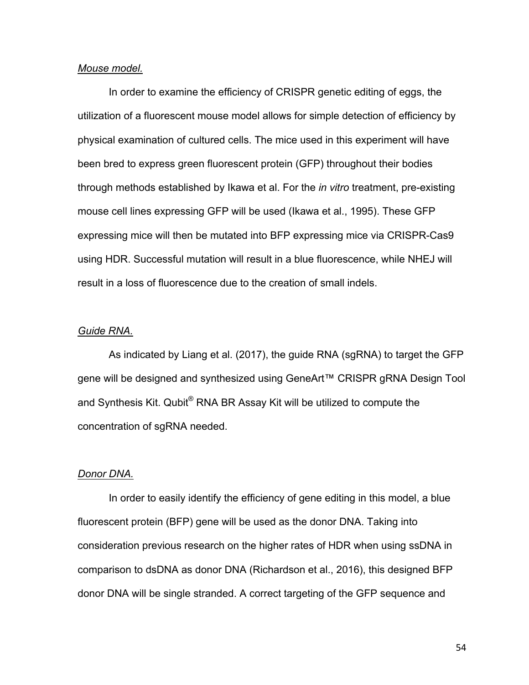#### *Mouse model.*

In order to examine the efficiency of CRISPR genetic editing of eggs, the utilization of a fluorescent mouse model allows for simple detection of efficiency by physical examination of cultured cells. The mice used in this experiment will have been bred to express green fluorescent protein (GFP) throughout their bodies through methods established by Ikawa et al. For the *in vitro* treatment, pre-existing mouse cell lines expressing GFP will be used (Ikawa et al., 1995). These GFP expressing mice will then be mutated into BFP expressing mice via CRISPR-Cas9 using HDR. Successful mutation will result in a blue fluorescence, while NHEJ will result in a loss of fluorescence due to the creation of small indels.

#### *Guide RNA.*

As indicated by Liang et al. (2017), the guide RNA (sgRNA) to target the GFP gene will be designed and synthesized using GeneArt<sup>™</sup> CRISPR gRNA Design Tool and Synthesis Kit. Qubit<sup>®</sup> RNA BR Assay Kit will be utilized to compute the concentration of sgRNA needed.

### *Donor DNA.*

In order to easily identify the efficiency of gene editing in this model, a blue fluorescent protein (BFP) gene will be used as the donor DNA. Taking into consideration previous research on the higher rates of HDR when using ssDNA in comparison to dsDNA as donor DNA (Richardson et al., 2016), this designed BFP donor DNA will be single stranded. A correct targeting of the GFP sequence and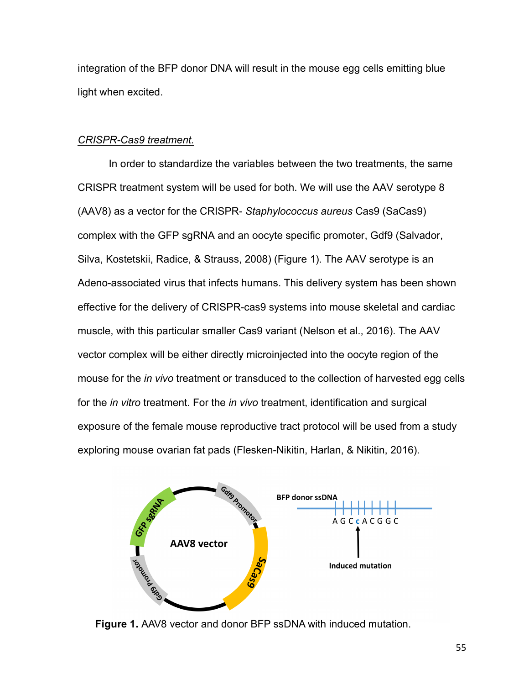integration of the BFP donor DNA will result in the mouse egg cells emitting blue light when excited.

### *CRISPR-Cas9 treatment.*

In order to standardize the variables between the two treatments, the same CRISPR treatment system will be used for both. We will use the AAV serotype 8 (AAV8) as a vector for the CRISPR- *Staphylococcus aureus* Cas9 (SaCas9) complex with the GFP sgRNA and an oocyte specific promoter, Gdf9 (Salvador, Silva, Kostetskii, Radice, & Strauss, 2008) (Figure 1). The AAV serotype is an Adeno-associated virus that infects humans. This delivery system has been shown effective for the delivery of CRISPR-cas9 systems into mouse skeletal and cardiac muscle, with this particular smaller Cas9 variant (Nelson et al., 2016). The AAV vector complex will be either directly microinjected into the oocyte region of the mouse for the *in vivo* treatment or transduced to the collection of harvested egg cells for the *in vitro* treatment. For the *in vivo* treatment, identification and surgical exposure of the female mouse reproductive tract protocol will be used from a study exploring mouse ovarian fat pads (Flesken-Nikitin, Harlan, & Nikitin, 2016).



**Figure 1.** AAV8 vector and donor BFP ssDNA with induced mutation.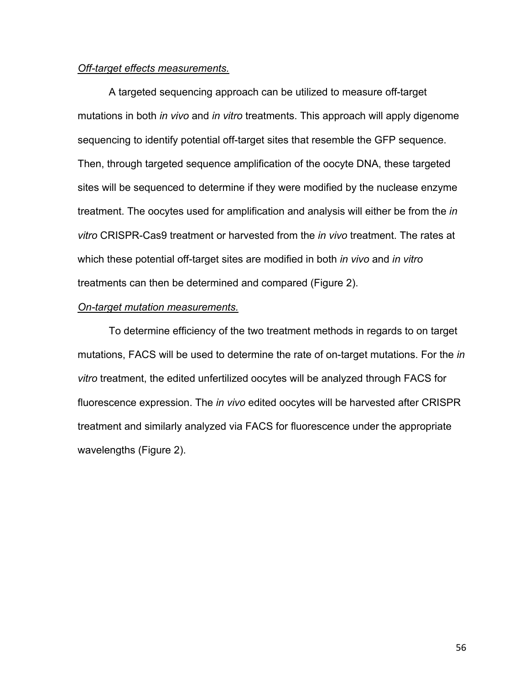### *Off-target effects measurements.*

A targeted sequencing approach can be utilized to measure off-target mutations in both *in vivo* and *in vitro* treatments. This approach will apply digenome sequencing to identify potential off-target sites that resemble the GFP sequence. Then, through targeted sequence amplification of the oocyte DNA, these targeted sites will be sequenced to determine if they were modified by the nuclease enzyme treatment. The oocytes used for amplification and analysis will either be from the *in vitro* CRISPR-Cas9 treatment or harvested from the *in vivo* treatment. The rates at which these potential off-target sites are modified in both *in vivo* and *in vitro* treatments can then be determined and compared (Figure 2).

#### *On-target mutation measurements.*

To determine efficiency of the two treatment methods in regards to on target mutations, FACS will be used to determine the rate of on-target mutations. For the *in vitro* treatment, the edited unfertilized oocytes will be analyzed through FACS for fluorescence expression. The *in vivo* edited oocytes will be harvested after CRISPR treatment and similarly analyzed via FACS for fluorescence under the appropriate wavelengths (Figure 2).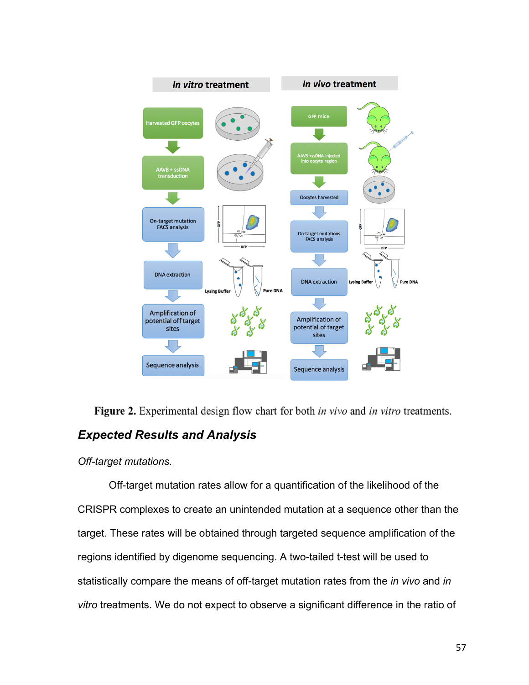

Figure 2. Experimental design flow chart for both *in vivo* and *in vitro* treatments. *Expected Results and Analysis*

### *Off-target mutations.*

Off-target mutation rates allow for a quantification of the likelihood of the CRISPR complexes to create an unintended mutation at a sequence other than the target. These rates will be obtained through targeted sequence amplification of the regions identified by digenome sequencing. A two-tailed t-test will be used to statistically compare the means of off-target mutation rates from the *in vivo* and *in vitro* treatments. We do not expect to observe a significant difference in the ratio of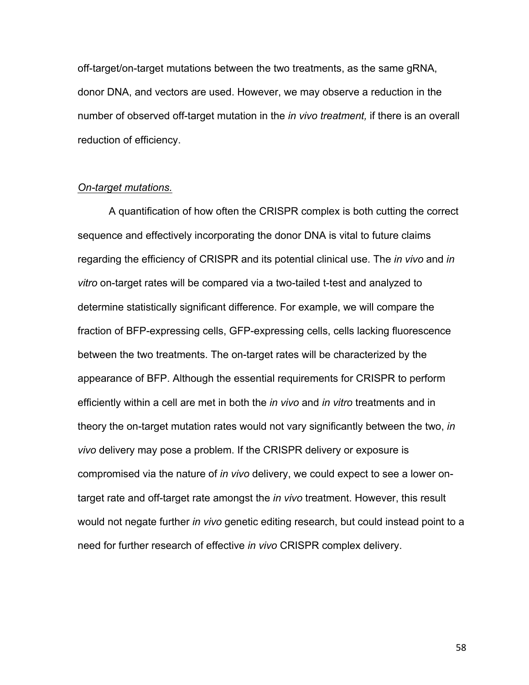off-target/on-target mutations between the two treatments, as the same gRNA, donor DNA, and vectors are used. However, we may observe a reduction in the number of observed off-target mutation in the *in vivo treatment,* if there is an overall reduction of efficiency.

#### *On-target mutations.*

A quantification of how often the CRISPR complex is both cutting the correct sequence and effectively incorporating the donor DNA is vital to future claims regarding the efficiency of CRISPR and its potential clinical use. The *in vivo* and *in vitro* on-target rates will be compared via a two-tailed t-test and analyzed to determine statistically significant difference. For example, we will compare the fraction of BFP-expressing cells, GFP-expressing cells, cells lacking fluorescence between the two treatments. The on-target rates will be characterized by the appearance of BFP. Although the essential requirements for CRISPR to perform efficiently within a cell are met in both the *in vivo* and *in vitro* treatments and in theory the on-target mutation rates would not vary significantly between the two, *in vivo* delivery may pose a problem. If the CRISPR delivery or exposure is compromised via the nature of *in vivo* delivery, we could expect to see a lower ontarget rate and off-target rate amongst the *in vivo* treatment. However, this result would not negate further *in vivo* genetic editing research, but could instead point to a need for further research of effective *in vivo* CRISPR complex delivery.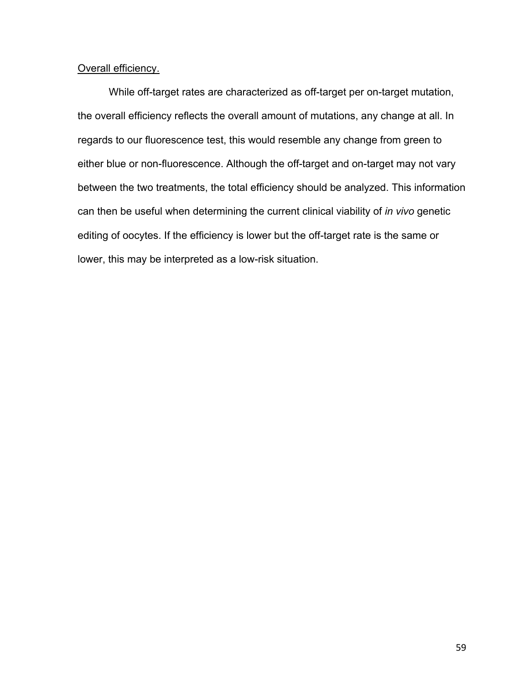### Overall efficiency.

While off-target rates are characterized as off-target per on-target mutation, the overall efficiency reflects the overall amount of mutations, any change at all. In regards to our fluorescence test, this would resemble any change from green to either blue or non-fluorescence. Although the off-target and on-target may not vary between the two treatments, the total efficiency should be analyzed. This information can then be useful when determining the current clinical viability of *in vivo* genetic editing of oocytes. If the efficiency is lower but the off-target rate is the same or lower, this may be interpreted as a low-risk situation.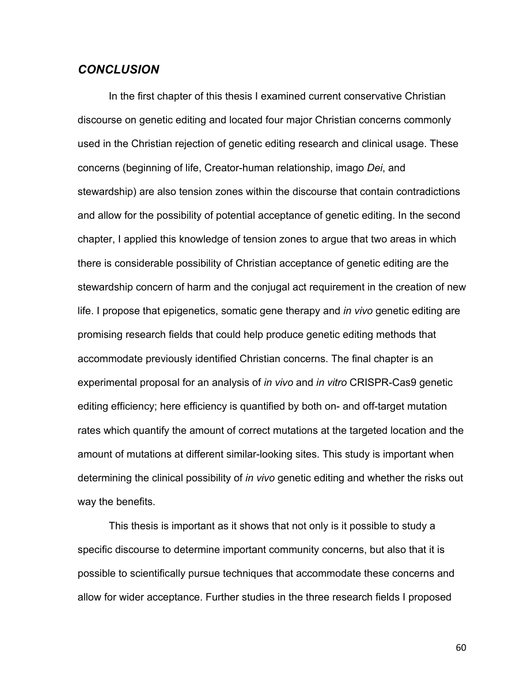### *CONCLUSION*

In the first chapter of this thesis I examined current conservative Christian discourse on genetic editing and located four major Christian concerns commonly used in the Christian rejection of genetic editing research and clinical usage. These concerns (beginning of life, Creator-human relationship, imago *Dei*, and stewardship) are also tension zones within the discourse that contain contradictions and allow for the possibility of potential acceptance of genetic editing. In the second chapter, I applied this knowledge of tension zones to argue that two areas in which there is considerable possibility of Christian acceptance of genetic editing are the stewardship concern of harm and the conjugal act requirement in the creation of new life. I propose that epigenetics, somatic gene therapy and *in vivo* genetic editing are promising research fields that could help produce genetic editing methods that accommodate previously identified Christian concerns. The final chapter is an experimental proposal for an analysis of *in vivo* and *in vitro* CRISPR-Cas9 genetic editing efficiency; here efficiency is quantified by both on- and off-target mutation rates which quantify the amount of correct mutations at the targeted location and the amount of mutations at different similar-looking sites. This study is important when determining the clinical possibility of *in vivo* genetic editing and whether the risks out way the benefits.

This thesis is important as it shows that not only is it possible to study a specific discourse to determine important community concerns, but also that it is possible to scientifically pursue techniques that accommodate these concerns and allow for wider acceptance. Further studies in the three research fields I proposed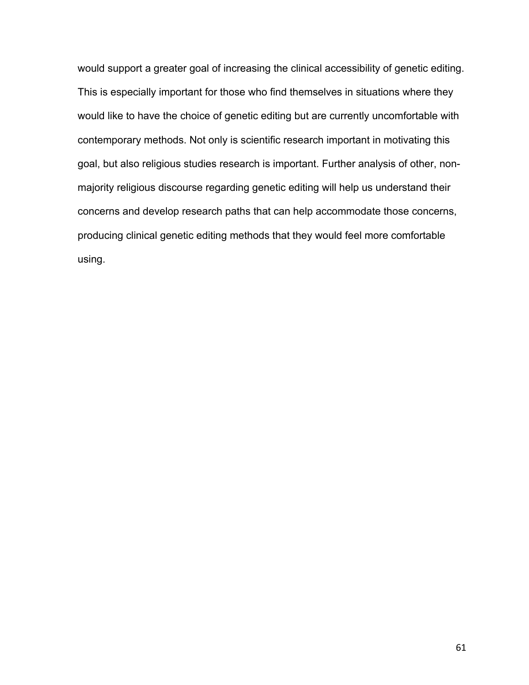would support a greater goal of increasing the clinical accessibility of genetic editing. This is especially important for those who find themselves in situations where they would like to have the choice of genetic editing but are currently uncomfortable with contemporary methods. Not only is scientific research important in motivating this goal, but also religious studies research is important. Further analysis of other, nonmajority religious discourse regarding genetic editing will help us understand their concerns and develop research paths that can help accommodate those concerns, producing clinical genetic editing methods that they would feel more comfortable using.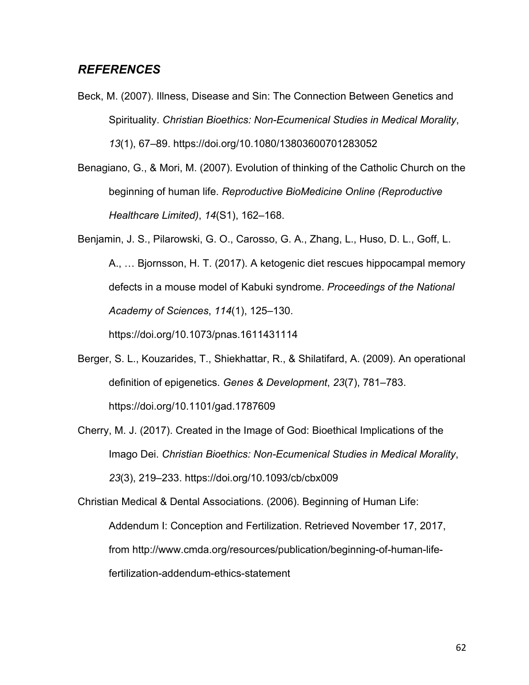## *REFERENCES*

- Beck, M. (2007). Illness, Disease and Sin: The Connection Between Genetics and Spirituality. *Christian Bioethics: Non-Ecumenical Studies in Medical Morality*, *13*(1), 67–89. https://doi.org/10.1080/13803600701283052
- Benagiano, G., & Mori, M. (2007). Evolution of thinking of the Catholic Church on the beginning of human life. *Reproductive BioMedicine Online (Reproductive Healthcare Limited)*, *14*(S1), 162–168.
- Benjamin, J. S., Pilarowski, G. O., Carosso, G. A., Zhang, L., Huso, D. L., Goff, L. A., … Bjornsson, H. T. (2017). A ketogenic diet rescues hippocampal memory defects in a mouse model of Kabuki syndrome. *Proceedings of the National Academy of Sciences*, *114*(1), 125–130.

https://doi.org/10.1073/pnas.1611431114

- Berger, S. L., Kouzarides, T., Shiekhattar, R., & Shilatifard, A. (2009). An operational definition of epigenetics. *Genes & Development*, *23*(7), 781–783. https://doi.org/10.1101/gad.1787609
- Cherry, M. J. (2017). Created in the Image of God: Bioethical Implications of the Imago Dei. *Christian Bioethics: Non-Ecumenical Studies in Medical Morality*, *23*(3), 219–233. https://doi.org/10.1093/cb/cbx009

Christian Medical & Dental Associations. (2006). Beginning of Human Life: Addendum I: Conception and Fertilization. Retrieved November 17, 2017, from http://www.cmda.org/resources/publication/beginning-of-human-lifefertilization-addendum-ethics-statement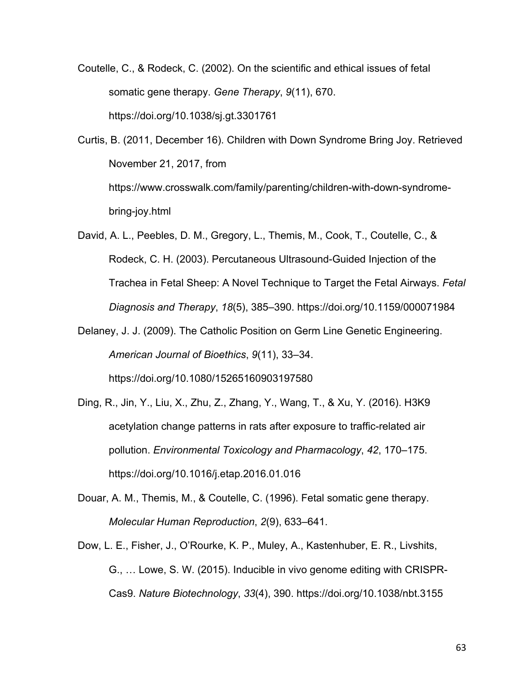Coutelle, C., & Rodeck, C. (2002). On the scientific and ethical issues of fetal somatic gene therapy. *Gene Therapy*, *9*(11), 670. https://doi.org/10.1038/sj.gt.3301761

Curtis, B. (2011, December 16). Children with Down Syndrome Bring Joy. Retrieved November 21, 2017, from https://www.crosswalk.com/family/parenting/children-with-down-syndromebring-joy.html

- David, A. L., Peebles, D. M., Gregory, L., Themis, M., Cook, T., Coutelle, C., & Rodeck, C. H. (2003). Percutaneous Ultrasound-Guided Injection of the Trachea in Fetal Sheep: A Novel Technique to Target the Fetal Airways. *Fetal Diagnosis and Therapy*, *18*(5), 385–390. https://doi.org/10.1159/000071984
- Delaney, J. J. (2009). The Catholic Position on Germ Line Genetic Engineering. *American Journal of Bioethics*, *9*(11), 33–34. https://doi.org/10.1080/15265160903197580
- Ding, R., Jin, Y., Liu, X., Zhu, Z., Zhang, Y., Wang, T., & Xu, Y. (2016). H3K9 acetylation change patterns in rats after exposure to traffic-related air pollution. *Environmental Toxicology and Pharmacology*, *42*, 170–175. https://doi.org/10.1016/j.etap.2016.01.016
- Douar, A. M., Themis, M., & Coutelle, C. (1996). Fetal somatic gene therapy. *Molecular Human Reproduction*, *2*(9), 633–641.
- Dow, L. E., Fisher, J., O'Rourke, K. P., Muley, A., Kastenhuber, E. R., Livshits, G., … Lowe, S. W. (2015). Inducible in vivo genome editing with CRISPR-Cas9. *Nature Biotechnology*, *33*(4), 390. https://doi.org/10.1038/nbt.3155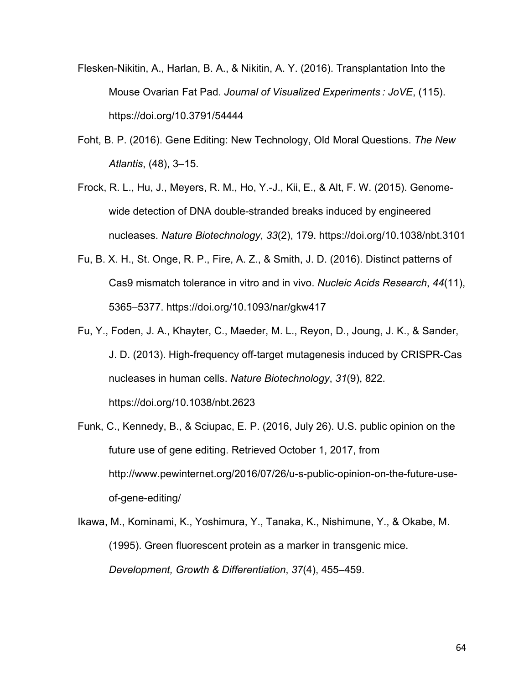- Flesken-Nikitin, A., Harlan, B. A., & Nikitin, A. Y. (2016). Transplantation Into the Mouse Ovarian Fat Pad. *Journal of Visualized Experiments : JoVE*, (115). https://doi.org/10.3791/54444
- Foht, B. P. (2016). Gene Editing: New Technology, Old Moral Questions. *The New Atlantis*, (48), 3–15.
- Frock, R. L., Hu, J., Meyers, R. M., Ho, Y.-J., Kii, E., & Alt, F. W. (2015). Genomewide detection of DNA double-stranded breaks induced by engineered nucleases. *Nature Biotechnology*, *33*(2), 179. https://doi.org/10.1038/nbt.3101
- Fu, B. X. H., St. Onge, R. P., Fire, A. Z., & Smith, J. D. (2016). Distinct patterns of Cas9 mismatch tolerance in vitro and in vivo. *Nucleic Acids Research*, *44*(11), 5365–5377. https://doi.org/10.1093/nar/gkw417
- Fu, Y., Foden, J. A., Khayter, C., Maeder, M. L., Reyon, D., Joung, J. K., & Sander, J. D. (2013). High-frequency off-target mutagenesis induced by CRISPR-Cas nucleases in human cells. *Nature Biotechnology*, *31*(9), 822. https://doi.org/10.1038/nbt.2623
- Funk, C., Kennedy, B., & Sciupac, E. P. (2016, July 26). U.S. public opinion on the future use of gene editing. Retrieved October 1, 2017, from http://www.pewinternet.org/2016/07/26/u-s-public-opinion-on-the-future-useof-gene-editing/

Ikawa, M., Kominami, K., Yoshimura, Y., Tanaka, K., Nishimune, Y., & Okabe, M. (1995). Green fluorescent protein as a marker in transgenic mice. *Development, Growth & Differentiation*, *37*(4), 455–459.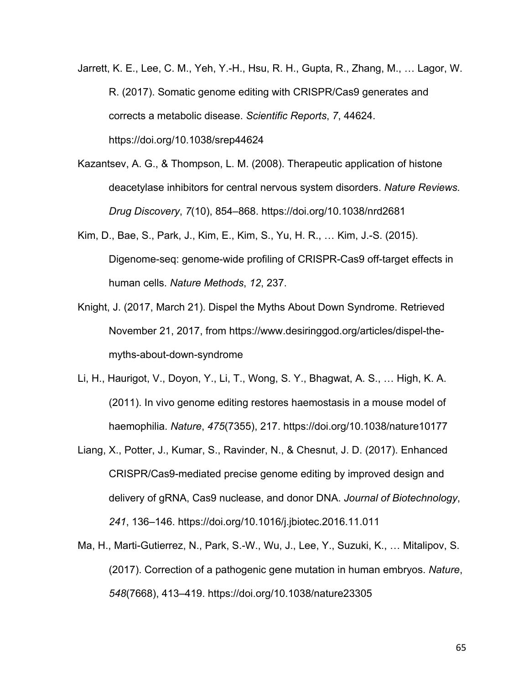- Jarrett, K. E., Lee, C. M., Yeh, Y.-H., Hsu, R. H., Gupta, R., Zhang, M., … Lagor, W. R. (2017). Somatic genome editing with CRISPR/Cas9 generates and corrects a metabolic disease. *Scientific Reports*, *7*, 44624. https://doi.org/10.1038/srep44624
- Kazantsev, A. G., & Thompson, L. M. (2008). Therapeutic application of histone deacetylase inhibitors for central nervous system disorders. *Nature Reviews. Drug Discovery*, *7*(10), 854–868. https://doi.org/10.1038/nrd2681
- Kim, D., Bae, S., Park, J., Kim, E., Kim, S., Yu, H. R., … Kim, J.-S. (2015). Digenome-seq: genome-wide profiling of CRISPR-Cas9 off-target effects in human cells. *Nature Methods*, *12*, 237.
- Knight, J. (2017, March 21). Dispel the Myths About Down Syndrome. Retrieved November 21, 2017, from https://www.desiringgod.org/articles/dispel-themyths-about-down-syndrome
- Li, H., Haurigot, V., Doyon, Y., Li, T., Wong, S. Y., Bhagwat, A. S., … High, K. A. (2011). In vivo genome editing restores haemostasis in a mouse model of haemophilia. *Nature*, *475*(7355), 217. https://doi.org/10.1038/nature10177
- Liang, X., Potter, J., Kumar, S., Ravinder, N., & Chesnut, J. D. (2017). Enhanced CRISPR/Cas9-mediated precise genome editing by improved design and delivery of gRNA, Cas9 nuclease, and donor DNA. *Journal of Biotechnology*, *241*, 136–146. https://doi.org/10.1016/j.jbiotec.2016.11.011
- Ma, H., Marti-Gutierrez, N., Park, S.-W., Wu, J., Lee, Y., Suzuki, K., … Mitalipov, S. (2017). Correction of a pathogenic gene mutation in human embryos. *Nature*, *548*(7668), 413–419. https://doi.org/10.1038/nature23305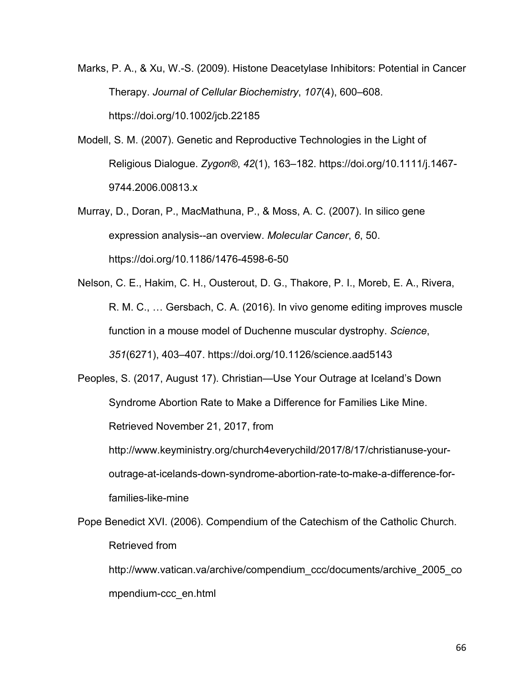Marks, P. A., & Xu, W.-S. (2009). Histone Deacetylase Inhibitors: Potential in Cancer Therapy. *Journal of Cellular Biochemistry*, *107*(4), 600–608. https://doi.org/10.1002/jcb.22185

- Modell, S. M. (2007). Genetic and Reproductive Technologies in the Light of Religious Dialogue. *Zygon®*, *42*(1), 163–182. https://doi.org/10.1111/j.1467- 9744.2006.00813.x
- Murray, D., Doran, P., MacMathuna, P., & Moss, A. C. (2007). In silico gene expression analysis--an overview. *Molecular Cancer*, *6*, 50. https://doi.org/10.1186/1476-4598-6-50

Nelson, C. E., Hakim, C. H., Ousterout, D. G., Thakore, P. I., Moreb, E. A., Rivera, R. M. C., … Gersbach, C. A. (2016). In vivo genome editing improves muscle function in a mouse model of Duchenne muscular dystrophy. *Science*, *351*(6271), 403–407. https://doi.org/10.1126/science.aad5143

Peoples, S. (2017, August 17). Christian—Use Your Outrage at Iceland's Down Syndrome Abortion Rate to Make a Difference for Families Like Mine. Retrieved November 21, 2017, from http://www.keyministry.org/church4everychild/2017/8/17/christianuse-your-

outrage-at-icelands-down-syndrome-abortion-rate-to-make-a-difference-forfamilies-like-mine

Pope Benedict XVI. (2006). Compendium of the Catechism of the Catholic Church. Retrieved from

http://www.vatican.va/archive/compendium\_ccc/documents/archive\_2005\_co mpendium-ccc\_en.html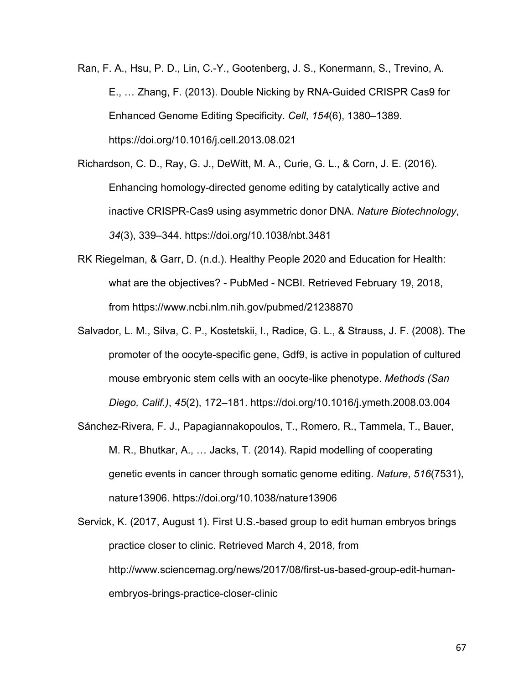Ran, F. A., Hsu, P. D., Lin, C.-Y., Gootenberg, J. S., Konermann, S., Trevino, A. E., … Zhang, F. (2013). Double Nicking by RNA-Guided CRISPR Cas9 for Enhanced Genome Editing Specificity. *Cell*, *154*(6), 1380–1389. https://doi.org/10.1016/j.cell.2013.08.021

- Richardson, C. D., Ray, G. J., DeWitt, M. A., Curie, G. L., & Corn, J. E. (2016). Enhancing homology-directed genome editing by catalytically active and inactive CRISPR-Cas9 using asymmetric donor DNA. *Nature Biotechnology*, *34*(3), 339–344. https://doi.org/10.1038/nbt.3481
- RK Riegelman, & Garr, D. (n.d.). Healthy People 2020 and Education for Health: what are the objectives? - PubMed - NCBI. Retrieved February 19, 2018, from https://www.ncbi.nlm.nih.gov/pubmed/21238870
- Salvador, L. M., Silva, C. P., Kostetskii, I., Radice, G. L., & Strauss, J. F. (2008). The promoter of the oocyte-specific gene, Gdf9, is active in population of cultured mouse embryonic stem cells with an oocyte-like phenotype. *Methods (San Diego, Calif.)*, *45*(2), 172–181. https://doi.org/10.1016/j.ymeth.2008.03.004
- Sánchez-Rivera, F. J., Papagiannakopoulos, T., Romero, R., Tammela, T., Bauer, M. R., Bhutkar, A., … Jacks, T. (2014). Rapid modelling of cooperating genetic events in cancer through somatic genome editing. *Nature*, *516*(7531), nature13906. https://doi.org/10.1038/nature13906

Servick, K. (2017, August 1). First U.S.-based group to edit human embryos brings practice closer to clinic. Retrieved March 4, 2018, from http://www.sciencemag.org/news/2017/08/first-us-based-group-edit-humanembryos-brings-practice-closer-clinic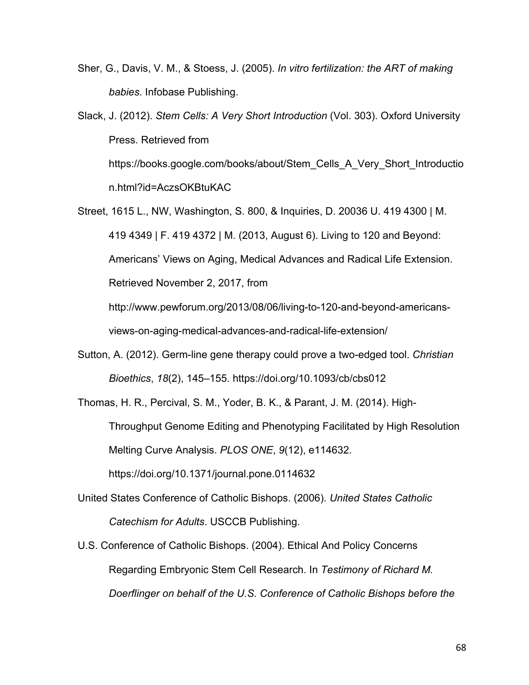- Sher, G., Davis, V. M., & Stoess, J. (2005). *In vitro fertilization: the ART of making babies*. Infobase Publishing.
- Slack, J. (2012). *Stem Cells: A Very Short Introduction* (Vol. 303). Oxford University Press. Retrieved from https://books.google.com/books/about/Stem\_Cells\_A\_Very\_Short\_Introductio n.html?id=AczsOKBtuKAC
- Street, 1615 L., NW, Washington, S. 800, & Inquiries, D. 20036 U. 419 4300 | M. 419 4349 | F. 419 4372 | M. (2013, August 6). Living to 120 and Beyond: Americans' Views on Aging, Medical Advances and Radical Life Extension. Retrieved November 2, 2017, from

http://www.pewforum.org/2013/08/06/living-to-120-and-beyond-americansviews-on-aging-medical-advances-and-radical-life-extension/

Sutton, A. (2012). Germ-line gene therapy could prove a two-edged tool. *Christian Bioethics*, *18*(2), 145–155. https://doi.org/10.1093/cb/cbs012

Thomas, H. R., Percival, S. M., Yoder, B. K., & Parant, J. M. (2014). High-Throughput Genome Editing and Phenotyping Facilitated by High Resolution Melting Curve Analysis. *PLOS ONE*, *9*(12), e114632. https://doi.org/10.1371/journal.pone.0114632

- United States Conference of Catholic Bishops. (2006). *United States Catholic Catechism for Adults*. USCCB Publishing.
- U.S. Conference of Catholic Bishops. (2004). Ethical And Policy Concerns Regarding Embryonic Stem Cell Research. In *Testimony of Richard M. Doerflinger on behalf of the U.S. Conference of Catholic Bishops before the*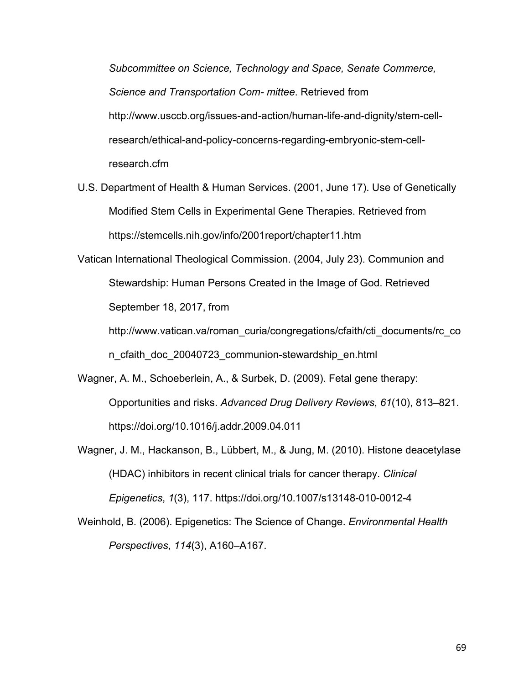*Subcommittee on Science, Technology and Space, Senate Commerce, Science and Transportation Com- mittee*. Retrieved from http://www.usccb.org/issues-and-action/human-life-and-dignity/stem-cellresearch/ethical-and-policy-concerns-regarding-embryonic-stem-cellresearch.cfm

- U.S. Department of Health & Human Services. (2001, June 17). Use of Genetically Modified Stem Cells in Experimental Gene Therapies. Retrieved from https://stemcells.nih.gov/info/2001report/chapter11.htm
- Vatican International Theological Commission. (2004, July 23). Communion and Stewardship: Human Persons Created in the Image of God. Retrieved September 18, 2017, from

http://www.vatican.va/roman\_curia/congregations/cfaith/cti\_documents/rc\_co n\_cfaith\_doc\_20040723\_communion-stewardship\_en.html

- Wagner, A. M., Schoeberlein, A., & Surbek, D. (2009). Fetal gene therapy: Opportunities and risks. *Advanced Drug Delivery Reviews*, *61*(10), 813–821. https://doi.org/10.1016/j.addr.2009.04.011
- Wagner, J. M., Hackanson, B., Lübbert, M., & Jung, M. (2010). Histone deacetylase (HDAC) inhibitors in recent clinical trials for cancer therapy. *Clinical Epigenetics*, *1*(3), 117. https://doi.org/10.1007/s13148-010-0012-4
- Weinhold, B. (2006). Epigenetics: The Science of Change. *Environmental Health Perspectives*, *114*(3), A160–A167.